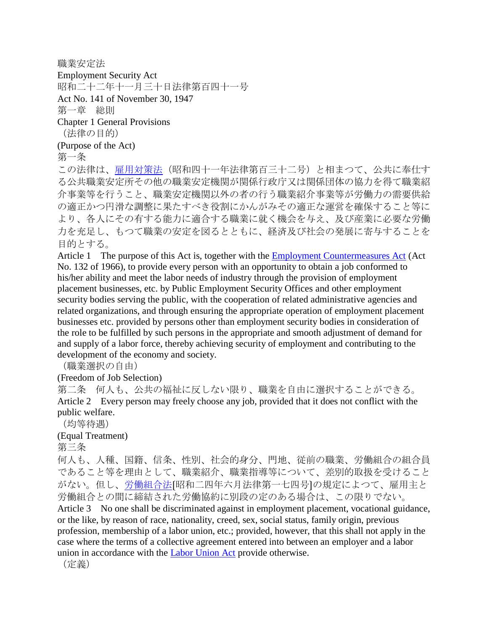職業安定法 Employment Security Act 昭和二十二年十一月三十日法律第百四十一号 Act No. 141 of November 30, 1947 第一章 総則 Chapter 1 General Provisions (法律の目的) (Purpose of the Act)

第一条

この法律は[、雇用対策法\(](http://www.japaneselawtranslation.go.jp/law/detail_main?id=874&vm=4&re=)昭和四十一年法律第百三十二号)と相まつて、公共に奉仕す る公共職業安定所その他の職業安定機関が関係行政庁又は関係団体の協力を得て職業紹 介事業等を行うこと、職業安定機関以外の者の行う職業紹介事業等が労働力の需要供給 の適正かつ円滑な調整に果たすべき役割にかんがみその適正な運営を確保すること等に より、各人にその有する能力に適合する職業に就く機会を与え、及び産業に必要な労働 力を充足し、もつて職業の安定を図るとともに、経済及び社会の発展に寄与することを 目的とする。

Article 1 The purpose of this Act is, together with the **[Employment Countermeasures Act](http://www.japaneselawtranslation.go.jp/law/detail_main?id=874&vm=4&re=)** (Act No. 132 of 1966), to provide every person with an opportunity to obtain a job conformed to his/her ability and meet the labor needs of industry through the provision of employment placement businesses, etc. by Public Employment Security Offices and other employment security bodies serving the public, with the cooperation of related administrative agencies and related organizations, and through ensuring the appropriate operation of employment placement businesses etc. provided by persons other than employment security bodies in consideration of the role to be fulfilled by such persons in the appropriate and smooth adjustment of demand for and supply of a labor force, thereby achieving security of employment and contributing to the development of the economy and society.

(職業選択の自由)

(Freedom of Job Selection)

第二条 何人も、公共の福祉に反しない限り、職業を自由に選択することができる。 Article 2 Every person may freely choose any job, provided that it does not conflict with the public welfare.

(均等待遇)

(Equal Treatment)

第三条

何人も、人種、国籍、信条、性別、社会的身分、門地、従前の職業、労働組合の組合員 であること等を理由として、職業紹介、職業指導等について、差別的取扱を受けること がない。但し[、労働組合法](http://www.japaneselawtranslation.go.jp/law/detail_main?id=17&vm=4&re=)〔昭和二四年六月法律第一七四号〕の規定によつて、雇用主と 労働組合との間に締結された労働協約に別段の定のある場合は、この限りでない。 Article 3 No one shall be discriminated against in employment placement, vocational guidance, or the like, by reason of race, nationality, creed, sex, social status, family origin, previous profession, membership of a labor union, etc.; provided, however, that this shall not apply in the case where the terms of a collective agreement entered into between an employer and a labor union in accordance with the [Labor Union Act](http://www.japaneselawtranslation.go.jp/law/detail_main?id=17&vm=4&re=) provide otherwise.

(定義)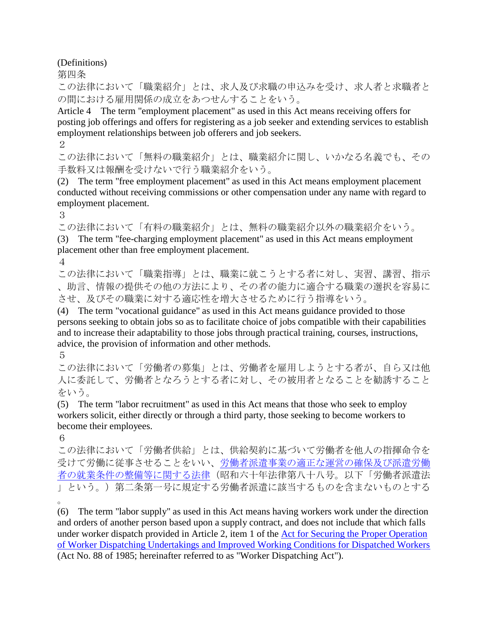(Definitions)

第四条

この法律において「職業紹介」とは、求人及び求職の申込みを受け、求人者と求職者と の間における雇用関係の成立をあつせんすることをいう。

Article 4 The term "employment placement" as used in this Act means receiving offers for posting job offerings and offers for registering as a job seeker and extending services to establish employment relationships between job offerers and job seekers.

2

この法律において「無料の職業紹介」とは、職業紹介に関し、いかなる名義でも、その 手数料又は報酬を受けないで行う職業紹介をいう。

(2) The term "free employment placement" as used in this Act means employment placement conducted without receiving commissions or other compensation under any name with regard to employment placement.

3

この法律において「有料の職業紹介」とは、無料の職業紹介以外の職業紹介をいう。 (3) The term "fee-charging employment placement" as used in this Act means employment placement other than free employment placement.

4

この法律において「職業指導」とは、職業に就こうとする者に対し、実習、講習、指示 、助言、情報の提供その他の方法により、その者の能力に適合する職業の選択を容易に させ、及びその職業に対する適応性を増大させるために行う指導をいう。

(4) The term "vocational guidance" as used in this Act means guidance provided to those persons seeking to obtain jobs so as to facilitate choice of jobs compatible with their capabilities and to increase their adaptability to those jobs through practical training, courses, instructions, advice, the provision of information and other methods.

5

この法律において「労働者の募集」とは、労働者を雇用しようとする者が、自ら又は他 人に委託して、労働者となろうとする者に対し、その被用者となることを勧誘すること をいう。

(5) The term "labor recruitment" as used in this Act means that those who seek to employ workers solicit, either directly or through a third party, those seeking to become workers to become their employees.

6

この法律において「労働者供給」とは、供給契約に基づいて労働者を他人の指揮命令を 受けて労働に従事させることをいい[、労働者派遣事業の適正な運営の確保及び派遣労働](http://www.japaneselawtranslation.go.jp/law/detail_main?id=75&vm=4&re=) [者の就業条件の整備等に関する法律\(](http://www.japaneselawtranslation.go.jp/law/detail_main?id=75&vm=4&re=)昭和六十年法律第八十八号。以下「労働者派遣法 」という。)第二条第一号に規定する労働者派遣に該当するものを含まないものとする 。

(6) The term "labor supply" as used in this Act means having workers work under the direction and orders of another person based upon a supply contract, and does not include that which falls under worker dispatch provided in Article 2, item 1 of the [Act for Securing the Proper Operation](http://www.japaneselawtranslation.go.jp/law/detail_main?id=75&vm=4&re=)  [of Worker Dispatching Undertakings and Improved Working Conditions for Dispatched Workers](http://www.japaneselawtranslation.go.jp/law/detail_main?id=75&vm=4&re=) (Act No. 88 of 1985; hereinafter referred to as "Worker Dispatching Act").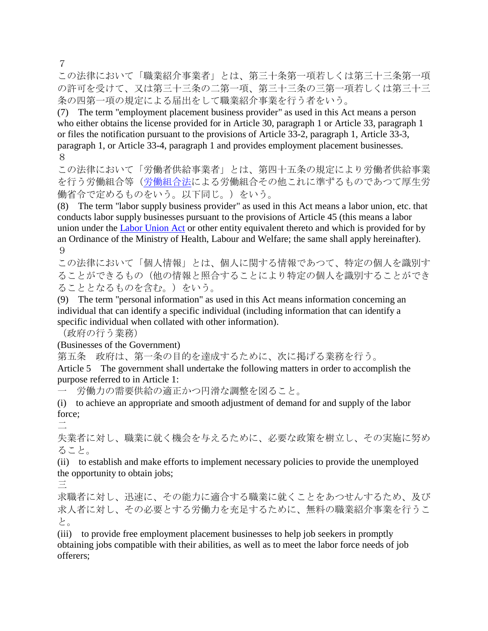7

この法律において「職業紹介事業者」とは、第三十条第一項若しくは第三十三条第一項 の許可を受けて、又は第三十三条の二第一項、第三十三条の三第一項若しくは第三十三 条の四第一項の規定による届出をして職業紹介事業を行う者をいう。

(7) The term "employment placement business provider" as used in this Act means a person who either obtains the license provided for in Article 30, paragraph 1 or Article 33, paragraph 1 or files the notification pursuant to the provisions of Article 33-2, paragraph 1, Article 33-3, paragraph 1, or Article 33-4, paragraph 1 and provides employment placement businesses. 8

この法律において「労働者供給事業者」とは、第四十五条の規定により労働者供給事業 を行う労働組合等[\(労働組合法に](http://www.japaneselawtranslation.go.jp/law/detail_main?id=17&vm=4&re=)よる労働組合その他これに準ずるものであつて厚生労 働省令で定めるものをいう。以下同じ。)をいう。

(8) The term "labor supply business provider" as used in this Act means a labor union, etc. that conducts labor supply businesses pursuant to the provisions of Article 45 (this means a labor union under the [Labor Union Act](http://www.japaneselawtranslation.go.jp/law/detail_main?id=17&vm=4&re=) or other entity equivalent thereto and which is provided for by an Ordinance of the Ministry of Health, Labour and Welfare; the same shall apply hereinafter). 9

この法律において「個人情報」とは、個人に関する情報であつて、特定の個人を識別す ることができるもの(他の情報と照合することにより特定の個人を識別することができ ることとなるものを含む。)をいう。

(9) The term "personal information" as used in this Act means information concerning an individual that can identify a specific individual (including information that can identify a specific individual when collated with other information).

(政府の行う業務)

(Businesses of the Government)

第五条 政府は、第一条の目的を達成するために、次に掲げる業務を行う。

Article 5 The government shall undertake the following matters in order to accomplish the purpose referred to in Article 1:

一 労働力の需要供給の適正かつ円滑な調整を図ること。

(i) to achieve an appropriate and smooth adjustment of demand for and supply of the labor force;

二

失業者に対し、職業に就く機会を与えるために、必要な政策を樹立し、その実施に努め ること。

(ii) to establish and make efforts to implement necessary policies to provide the unemployed the opportunity to obtain jobs;

三

求職者に対し、迅速に、その能力に適合する職業に就くことをあつせんするため、及び 求人者に対し、その必要とする労働力を充足するために、無料の職業紹介事業を行うこ と。

(iii) to provide free employment placement businesses to help job seekers in promptly obtaining jobs compatible with their abilities, as well as to meet the labor force needs of job offerers;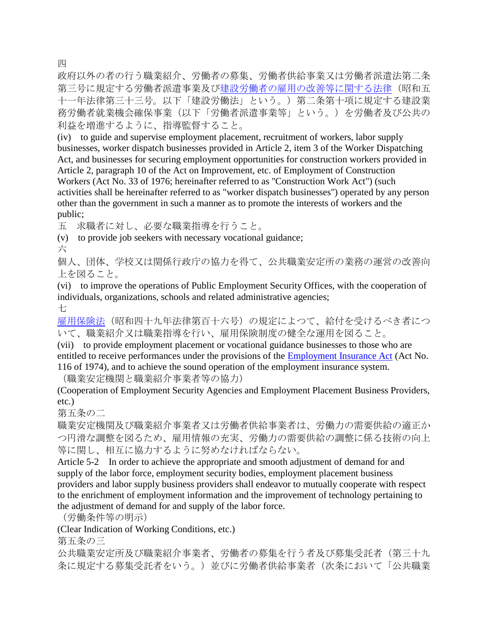四

政府以外の者の行う職業紹介、労働者の募集、労働者供給事業又は労働者派遣法第二条 第三号に規定する労働者派遣事業及[び建設労働者の雇用の改善等に関する法律\(](http://www.japaneselawtranslation.go.jp/law/detail_main?id=1035&vm=4&re=)昭和五 十一年法律第三十三号。以下「建設労働法」という。)第二条第十項に規定する建設業 務労働者就業機会確保事業(以下「労働者派遣事業等」という。)を労働者及び公共の 利益を増進するように、指導監督すること。

(iv) to guide and supervise employment placement, recruitment of workers, labor supply businesses, worker dispatch businesses provided in Article 2, item 3 of the Worker Dispatching Act, and businesses for securing employment opportunities for construction workers provided in Article 2, paragraph 10 of the Act on Improvement, etc. of Employment of Construction Workers (Act No. 33 of 1976; hereinafter referred to as "Construction Work Act") (such activities shall be hereinafter referred to as "worker dispatch businesses") operated by any person other than the government in such a manner as to promote the interests of workers and the public;

五 求職者に対し、必要な職業指導を行うこと。

(v) to provide job seekers with necessary vocational guidance;

六

個人、団体、学校又は関係行政庁の協力を得て、公共職業安定所の業務の運営の改善向 上を図ること。

(vi) to improve the operations of Public Employment Security Offices, with the cooperation of individuals, organizations, schools and related administrative agencies;

七

[雇用保険法\(](http://www.japaneselawtranslation.go.jp/law/detail_main?id=1026&vm=4&re=)昭和四十九年法律第百十六号)の規定によつて、給付を受けるべき者につ いて、職業紹介又は職業指導を行い、雇用保険制度の健全な運用を図ること。

(vii) to provide employment placement or vocational guidance businesses to those who are entitled to receive performances under the provisions of the [Employment Insurance Act](http://www.japaneselawtranslation.go.jp/law/detail_main?id=1026&vm=4&re=) (Act No. 116 of 1974), and to achieve the sound operation of the employment insurance system.

(職業安定機関と職業紹介事業者等の協力)

(Cooperation of Employment Security Agencies and Employment Placement Business Providers, etc.)

第五条の二

職業安定機関及び職業紹介事業者又は労働者供給事業者は、労働力の需要供給の適正か つ円滑な調整を図るため、雇用情報の充実、労働力の需要供給の調整に係る技術の向上 等に関し、相互に協力するように努めなければならない。

Article 5-2 In order to achieve the appropriate and smooth adjustment of demand for and supply of the labor force, employment security bodies, employment placement business providers and labor supply business providers shall endeavor to mutually cooperate with respect to the enrichment of employment information and the improvement of technology pertaining to the adjustment of demand for and supply of the labor force.

(労働条件等の明示)

(Clear Indication of Working Conditions, etc.)

第五条の三

公共職業安定所及び職業紹介事業者、労働者の募集を行う者及び募集受託者(第三十九 条に規定する募集受託者をいう。)並びに労働者供給事業者(次条において「公共職業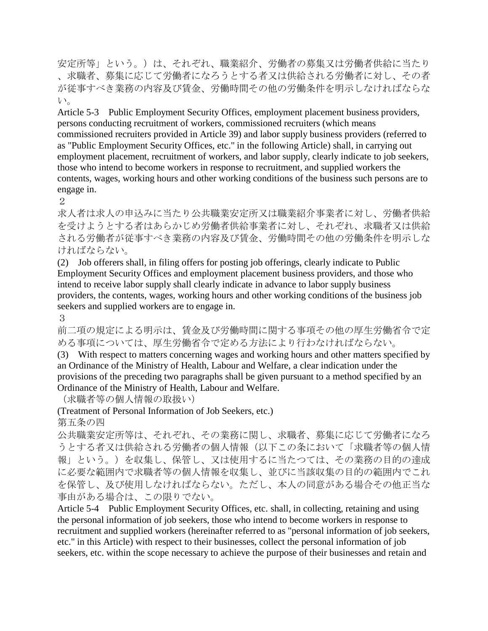安定所等」という。)は、それぞれ、職業紹介、労働者の募集又は労働者供給に当たり 、求職者、募集に応じて労働者になろうとする者又は供給される労働者に対し、その者 が従事すべき業務の内容及び賃金、労働時間その他の労働条件を明示しなければならな い。

Article 5-3 Public Employment Security Offices, employment placement business providers, persons conducting recruitment of workers, commissioned recruiters (which means commissioned recruiters provided in Article 39) and labor supply business providers (referred to as "Public Employment Security Offices, etc." in the following Article) shall, in carrying out employment placement, recruitment of workers, and labor supply, clearly indicate to job seekers, those who intend to become workers in response to recruitment, and supplied workers the contents, wages, working hours and other working conditions of the business such persons are to engage in.

2

求人者は求人の申込みに当たり公共職業安定所又は職業紹介事業者に対し、労働者供給 を受けようとする者はあらかじめ労働者供給事業者に対し、それぞれ、求職者又は供給 される労働者が従事すべき業務の内容及び賃金、労働時間その他の労働条件を明示しな ければならない。

(2) Job offerers shall, in filing offers for posting job offerings, clearly indicate to Public Employment Security Offices and employment placement business providers, and those who intend to receive labor supply shall clearly indicate in advance to labor supply business providers, the contents, wages, working hours and other working conditions of the business job seekers and supplied workers are to engage in.

3

前二項の規定による明示は、賃金及び労働時間に関する事項その他の厚生労働省令で定 める事項については、厚生労働省令で定める方法により行わなければならない。

(3) With respect to matters concerning wages and working hours and other matters specified by an Ordinance of the Ministry of Health, Labour and Welfare, a clear indication under the provisions of the preceding two paragraphs shall be given pursuant to a method specified by an Ordinance of the Ministry of Health, Labour and Welfare.

(求職者等の個人情報の取扱い)

(Treatment of Personal Information of Job Seekers, etc.)

第五条の四

公共職業安定所等は、それぞれ、その業務に関し、求職者、募集に応じて労働者になろ うとする者又は供給される労働者の個人情報(以下この条において「求職者等の個人情 報」という。)を収集し、保管し、又は使用するに当たつては、その業務の目的の達成 に必要な範囲内で求職者等の個人情報を収集し、並びに当該収集の目的の範囲内でこれ を保管し、及び使用しなければならない。ただし、本人の同意がある場合その他正当な 事由がある場合は、この限りでない。

Article 5-4 Public Employment Security Offices, etc. shall, in collecting, retaining and using the personal information of job seekers, those who intend to become workers in response to recruitment and supplied workers (hereinafter referred to as "personal information of job seekers, etc." in this Article) with respect to their businesses, collect the personal information of job seekers, etc. within the scope necessary to achieve the purpose of their businesses and retain and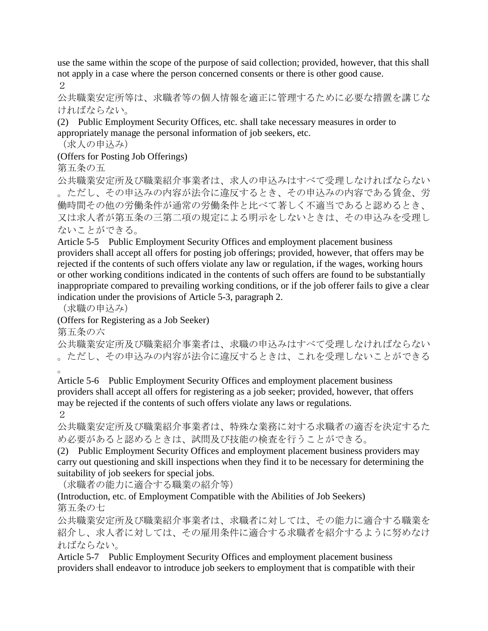use the same within the scope of the purpose of said collection; provided, however, that this shall not apply in a case where the person concerned consents or there is other good cause.

2

公共職業安定所等は、求職者等の個人情報を適正に管理するために必要な措置を講じな ければならない。

(2) Public Employment Security Offices, etc. shall take necessary measures in order to appropriately manage the personal information of job seekers, etc.

(求人の申込み)

(Offers for Posting Job Offerings)

第五条の五

公共職業安定所及び職業紹介事業者は、求人の申込みはすべて受理しなければならない 。ただし、その申込みの内容が法令に違反するとき、その申込みの内容である賃金、労 働時間その他の労働条件が通常の労働条件と比べて著しく不適当であると認めるとき、 又は求人者が第五条の三第二項の規定による明示をしないときは、その申込みを受理し ないことができる。

Article 5-5 Public Employment Security Offices and employment placement business providers shall accept all offers for posting job offerings; provided, however, that offers may be rejected if the contents of such offers violate any law or regulation, if the wages, working hours or other working conditions indicated in the contents of such offers are found to be substantially inappropriate compared to prevailing working conditions, or if the job offerer fails to give a clear indication under the provisions of Article 5-3, paragraph 2.

(求職の申込み)

(Offers for Registering as a Job Seeker)

第五条の六

公共職業安定所及び職業紹介事業者は、求職の申込みはすべて受理しなければならない 。ただし、その申込みの内容が法令に違反するときは、これを受理しないことができる  $\sim$ 

Article 5-6 Public Employment Security Offices and employment placement business providers shall accept all offers for registering as a job seeker; provided, however, that offers may be rejected if the contents of such offers violate any laws or regulations.

 $\mathcal{D}_{\mathcal{L}}$ 

公共職業安定所及び職業紹介事業者は、特殊な業務に対する求職者の適否を決定するた め必要があると認めるときは、試問及び技能の検査を行うことができる。

(2) Public Employment Security Offices and employment placement business providers may carry out questioning and skill inspections when they find it to be necessary for determining the suitability of job seekers for special jobs.

(求職者の能力に適合する職業の紹介等)

(Introduction, etc. of Employment Compatible with the Abilities of Job Seekers) 第五条の七

公共職業安定所及び職業紹介事業者は、求職者に対しては、その能力に適合する職業を 紹介し、求人者に対しては、その雇用条件に適合する求職者を紹介するように努めなけ ればならない。

Article 5-7 Public Employment Security Offices and employment placement business providers shall endeavor to introduce job seekers to employment that is compatible with their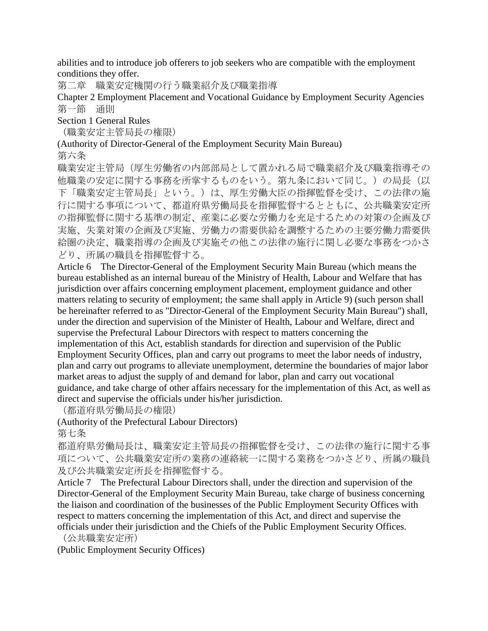abilities and to introduce job offerers to job seekers who are compatible with the employment conditions they offer.

第二章 職業安定機関の行う職業紹介及び職業指導

Chapter 2 Employment Placement and Vocational Guidance by Employment Security Agencies 第一節 通則

Section 1 General Rules

(職業安定主管局長の権限)

(Authority of Director-General of the Employment Security Main Bureau)

第六条

職業安定主管局(厚生労働省の内部部局として置かれる局で職業紹介及び職業指導その 他職業の安定に関する事務を所掌するものをいう。第九条において同じ。)の局長(以 下「職業安定主管局長」という。)は、厚生労働大臣の指揮監督を受け、この法律の施 行に関する事項について、都道府県労働局長を指揮監督するとともに、公共職業安定所 の指揮監督に関する基準の制定、産業に必要な労働力を充足するための対策の企画及び 実施、失業対策の企画及び実施、労働力の需要供給を調整するための主要労働力需要供 給圏の決定、職業指導の企画及び実施その他この法律の施行に関し必要な事務をつかさ どり、所属の職員を指揮監督する。

Article 6 The Director-General of the Employment Security Main Bureau (which means the bureau established as an internal bureau of the Ministry of Health, Labour and Welfare that has jurisdiction over affairs concerning employment placement, employment guidance and other matters relating to security of employment; the same shall apply in Article 9) (such person shall be hereinafter referred to as "Director-General of the Employment Security Main Bureau") shall, under the direction and supervision of the Minister of Health, Labour and Welfare, direct and supervise the Prefectural Labour Directors with respect to matters concerning the implementation of this Act, establish standards for direction and supervision of the Public Employment Security Offices, plan and carry out programs to meet the labor needs of industry, plan and carry out programs to alleviate unemployment, determine the boundaries of major labor market areas to adjust the supply of and demand for labor, plan and carry out vocational guidance, and take charge of other affairs necessary for the implementation of this Act, as well as direct and supervise the officials under his/her jurisdiction.

(都道府県労働局長の権限)

(Authority of the Prefectural Labour Directors)

第七条

都道府県労働局長は、職業安定主管局長の指揮監督を受け、この法律の施行に関する事 項について、公共職業安定所の業務の連絡統一に関する業務をつかさどり、所属の職員 及び公共職業安定所長を指揮監督する。

Article 7 The Prefectural Labour Directors shall, under the direction and supervision of the Director-General of the Employment Security Main Bureau, take charge of business concerning the liaison and coordination of the businesses of the Public Employment Security Offices with respect to matters concerning the implementation of this Act, and direct and supervise the officials under their jurisdiction and the Chiefs of the Public Employment Security Offices.

(公共職業安定所)

(Public Employment Security Offices)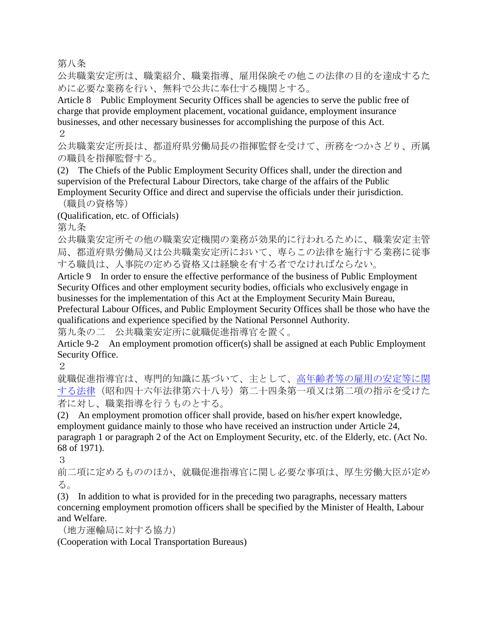第八条

公共職業安定所は、職業紹介、職業指導、雇用保険その他この法律の目的を達成するた めに必要な業務を行い、無料で公共に奉仕する機関とする。

Article 8 Public Employment Security Offices shall be agencies to serve the public free of charge that provide employment placement, vocational guidance, employment insurance businesses, and other necessary businesses for accomplishing the purpose of this Act. 2

公共職業安定所長は、都道府県労働局長の指揮監督を受けて、所務をつかさどり、所属 の職員を指揮監督する。

(2) The Chiefs of the Public Employment Security Offices shall, under the direction and supervision of the Prefectural Labour Directors, take charge of the affairs of the Public Employment Security Office and direct and supervise the officials under their jurisdiction.

(職員の資格等)

(Qualification, etc. of Officials)

第九条

公共職業安定所その他の職業安定機関の業務が効果的に行われるために、職業安定主管 局、都道府県労働局又は公共職業安定所において、専らこの法律を施行する業務に従事 する職員は、人事院の定める資格又は経験を有する者でなければならない。

Article 9 In order to ensure the effective performance of the business of Public Employment Security Offices and other employment security bodies, officials who exclusively engage in businesses for the implementation of this Act at the Employment Security Main Bureau, Prefectural Labour Offices, and Public Employment Security Offices shall be those who have the qualifications and experience specified by the National Personnel Authority.

第九条の二 公共職業安定所に就職促進指導官を置く。

Article 9-2 An employment promotion officer(s) shall be assigned at each Public Employment Security Office.

2

就職促進指導官は、専門的知識に基づいて、主として[、高年齢者等の雇用の安定等に関](http://www.japaneselawtranslation.go.jp/law/detail_main?id=966&vm=4&re=) [する法律\(](http://www.japaneselawtranslation.go.jp/law/detail_main?id=966&vm=4&re=)昭和四十六年法律第六十八号)第二十四条第一項又は第二項の指示を受けた 者に対し、職業指導を行うものとする。

(2) An employment promotion officer shall provide, based on his/her expert knowledge, employment guidance mainly to those who have received an instruction under Article 24, paragraph 1 or paragraph 2 of the Act on Employment Security, etc. of the Elderly, etc. (Act No. 68 of 1971).

3

前二項に定めるもののほか、就職促進指導官に関し必要な事項は、厚生労働大臣が定め る。

(3) In addition to what is provided for in the preceding two paragraphs, necessary matters concerning employment promotion officers shall be specified by the Minister of Health, Labour and Welfare.

(地方運輸局に対する協力)

(Cooperation with Local Transportation Bureaus)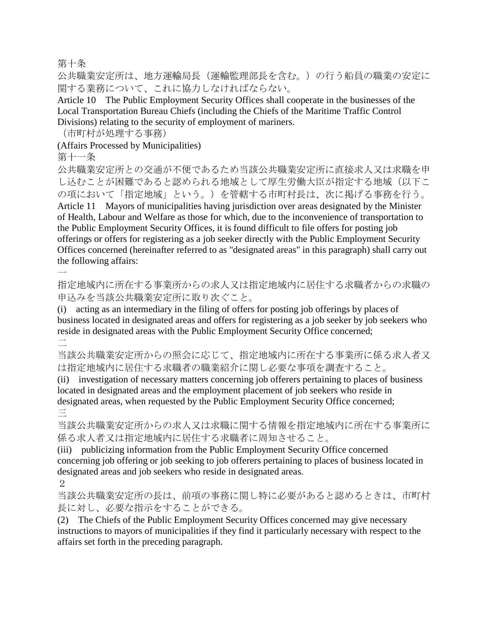第十条

公共職業安定所は、地方運輸局長(運輸監理部長を含む。)の行う船員の職業の安定に 関する業務について、これに協力しなければならない。

Article 10 The Public Employment Security Offices shall cooperate in the businesses of the Local Transportation Bureau Chiefs (including the Chiefs of the Maritime Traffic Control Divisions) relating to the security of employment of mariners.

(市町村が処理する事務)

(Affairs Processed by Municipalities)

第十一条

公共職業安定所との交通が不便であるため当該公共職業安定所に直接求人又は求職を申 し込むことが困難であると認められる地域として厚生労働大臣が指定する地域(以下こ の項において「指定地域」という。)を管轄する市町村長は、次に掲げる事務を行う。 Article 11 Mayors of municipalities having jurisdiction over areas designated by the Minister of Health, Labour and Welfare as those for which, due to the inconvenience of transportation to the Public Employment Security Offices, it is found difficult to file offers for posting job offerings or offers for registering as a job seeker directly with the Public Employment Security Offices concerned (hereinafter referred to as "designated areas" in this paragraph) shall carry out the following affairs:  $\overline{\phantom{a}}$ 

指定地域内に所在する事業所からの求人又は指定地域内に居住する求職者からの求職の 申込みを当該公共職業安定所に取り次ぐこと。

(i) acting as an intermediary in the filing of offers for posting job offerings by places of business located in designated areas and offers for registering as a job seeker by job seekers who reside in designated areas with the Public Employment Security Office concerned;

二

当該公共職業安定所からの照会に応じて、指定地域内に所在する事業所に係る求人者又 は指定地域内に居住する求職者の職業紹介に関し必要な事項を調査すること。

(ii) investigation of necessary matters concerning job offerers pertaining to places of business located in designated areas and the employment placement of job seekers who reside in designated areas, when requested by the Public Employment Security Office concerned; 三

当該公共職業安定所からの求人又は求職に関する情報を指定地域内に所在する事業所に 係る求人者又は指定地域内に居住する求職者に周知させること。

(iii) publicizing information from the Public Employment Security Office concerned concerning job offering or job seeking to job offerers pertaining to places of business located in designated areas and job seekers who reside in designated areas.

2

当該公共職業安定所の長は、前項の事務に関し特に必要があると認めるときは、市町村 長に対し、必要な指示をすることができる。

(2) The Chiefs of the Public Employment Security Offices concerned may give necessary instructions to mayors of municipalities if they find it particularly necessary with respect to the affairs set forth in the preceding paragraph.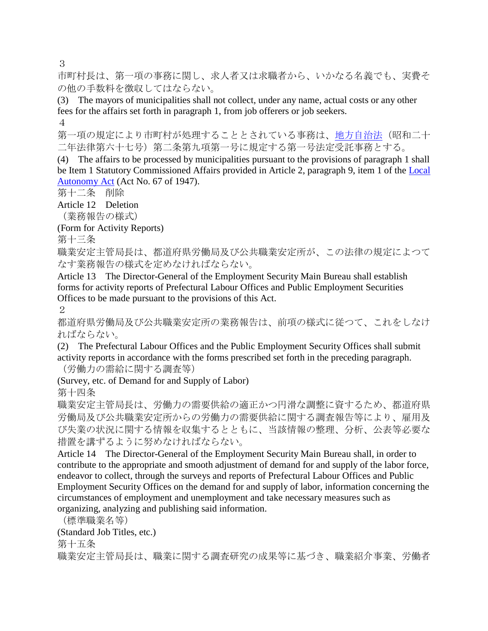3

市町村長は、第一項の事務に関し、求人者又は求職者から、いかなる名義でも、実費そ の他の手数料を徴収してはならない。

(3) The mayors of municipalities shall not collect, under any name, actual costs or any other fees for the affairs set forth in paragraph 1, from job offerers or job seekers.

4

第一項の規定により市町村が処理することとされている事務は[、地方自治法\(](http://www.japaneselawtranslation.go.jp/law/detail_main?id=281&vm=4&re=)昭和二十 二年法律第六十七号)第二条第九項第一号に規定する第一号法定受託事務とする。

(4) The affairs to be processed by municipalities pursuant to the provisions of paragraph 1 shall be Item 1 Statutory Commissioned Affairs provided in Article 2, paragraph 9, item 1 of the [Local](http://www.japaneselawtranslation.go.jp/law/detail_main?id=281&vm=4&re=)  [Autonomy Act](http://www.japaneselawtranslation.go.jp/law/detail_main?id=281&vm=4&re=) (Act No. 67 of 1947).

第十二条 削除

Article 12 Deletion

(業務報告の様式)

(Form for Activity Reports)

第十三条

職業安定主管局長は、都道府県労働局及び公共職業安定所が、この法律の規定によつて なす業務報告の様式を定めなければならない。

Article 13 The Director-General of the Employment Security Main Bureau shall establish forms for activity reports of Prefectural Labour Offices and Public Employment Securities Offices to be made pursuant to the provisions of this Act.

 $\mathcal{D}_{\mathcal{L}}$ 

都道府県労働局及び公共職業安定所の業務報告は、前項の様式に従つて、これをしなけ ればならない。

(2) The Prefectural Labour Offices and the Public Employment Security Offices shall submit activity reports in accordance with the forms prescribed set forth in the preceding paragraph. (労働力の需給に関する調査等)

(Survey, etc. of Demand for and Supply of Labor)

第十四条

職業安定主管局長は、労働力の需要供給の適正かつ円滑な調整に資するため、都道府県 労働局及び公共職業安定所からの労働力の需要供給に関する調査報告等により、雇用及 び失業の状況に関する情報を収集するとともに、当該情報の整理、分析、公表等必要な 措置を講ずるように努めなければならない。

Article 14 The Director-General of the Employment Security Main Bureau shall, in order to contribute to the appropriate and smooth adjustment of demand for and supply of the labor force, endeavor to collect, through the surveys and reports of Prefectural Labour Offices and Public Employment Security Offices on the demand for and supply of labor, information concerning the circumstances of employment and unemployment and take necessary measures such as organizing, analyzing and publishing said information.

(標準職業名等)

(Standard Job Titles, etc.)

第十五条

職業安定主管局長は、職業に関する調査研究の成果等に基づき、職業紹介事業、労働者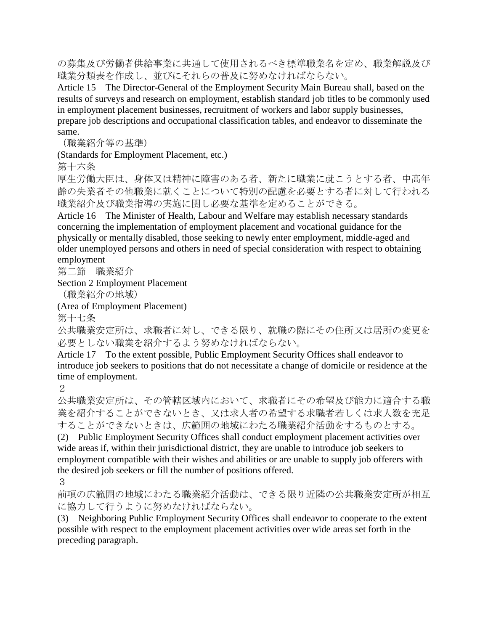の募集及び労働者供給事業に共通して使用されるべき標準職業名を定め、職業解説及び 職業分類表を作成し、並びにそれらの普及に努めなければならない。

Article 15 The Director-General of the Employment Security Main Bureau shall, based on the results of surveys and research on employment, establish standard job titles to be commonly used in employment placement businesses, recruitment of workers and labor supply businesses, prepare job descriptions and occupational classification tables, and endeavor to disseminate the same.

(職業紹介等の基準)

(Standards for Employment Placement, etc.)

第十六条

厚生労働大臣は、身体又は精神に障害のある者、新たに職業に就こうとする者、中高年 齢の失業者その他職業に就くことについて特別の配慮を必要とする者に対して行われる 職業紹介及び職業指導の実施に関し必要な基準を定めることができる。

Article 16 The Minister of Health, Labour and Welfare may establish necessary standards concerning the implementation of employment placement and vocational guidance for the physically or mentally disabled, those seeking to newly enter employment, middle-aged and older unemployed persons and others in need of special consideration with respect to obtaining employment

第二節 職業紹介

Section 2 Employment Placement

(職業紹介の地域)

(Area of Employment Placement)

第十七条

公共職業安定所は、求職者に対し、できる限り、就職の際にその住所又は居所の変更を 必要としない職業を紹介するよう努めなければならない。

Article 17 To the extent possible, Public Employment Security Offices shall endeavor to introduce job seekers to positions that do not necessitate a change of domicile or residence at the time of employment.

2

公共職業安定所は、その管轄区域内において、求職者にその希望及び能力に適合する職 業を紹介することができないとき、又は求人者の希望する求職者若しくは求人数を充足 することができないときは、広範囲の地域にわたる職業紹介活動をするものとする。

(2) Public Employment Security Offices shall conduct employment placement activities over wide areas if, within their jurisdictional district, they are unable to introduce job seekers to employment compatible with their wishes and abilities or are unable to supply job offerers with the desired job seekers or fill the number of positions offered.

3

前項の広範囲の地域にわたる職業紹介活動は、できる限り近隣の公共職業安定所が相互 に協力して行うように努めなければならない。

(3) Neighboring Public Employment Security Offices shall endeavor to cooperate to the extent possible with respect to the employment placement activities over wide areas set forth in the preceding paragraph.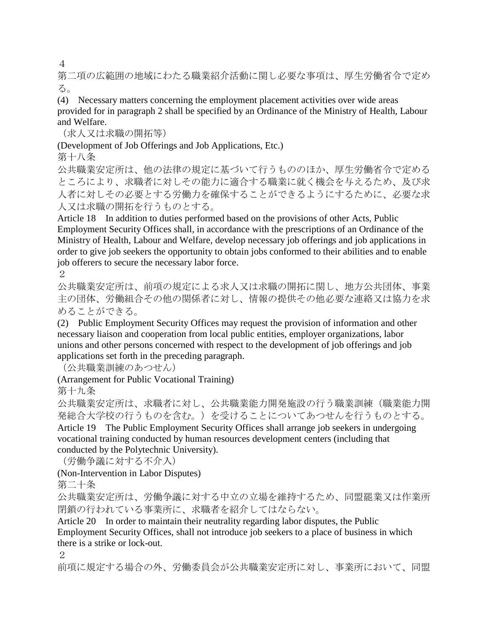4

第二項の広範囲の地域にわたる職業紹介活動に関し必要な事項は、厚生労働省令で定め る。

(4) Necessary matters concerning the employment placement activities over wide areas provided for in paragraph 2 shall be specified by an Ordinance of the Ministry of Health, Labour and Welfare.

(求人又は求職の開拓等)

(Development of Job Offerings and Job Applications, Etc.)

第十八条

公共職業安定所は、他の法律の規定に基づいて行うもののほか、厚生労働省令で定める ところにより、求職者に対しその能力に適合する職業に就く機会を与えるため、及び求 人者に対しその必要とする労働力を確保することができるようにするために、必要な求 人又は求職の開拓を行うものとする。

Article 18 In addition to duties performed based on the provisions of other Acts, Public Employment Security Offices shall, in accordance with the prescriptions of an Ordinance of the Ministry of Health, Labour and Welfare, develop necessary job offerings and job applications in order to give job seekers the opportunity to obtain jobs conformed to their abilities and to enable job offerers to secure the necessary labor force.

2

公共職業安定所は、前項の規定による求人又は求職の開拓に関し、地方公共団体、事業 主の団体、労働組合その他の関係者に対し、情報の提供その他必要な連絡又は協力を求 めることができる。

(2) Public Employment Security Offices may request the provision of information and other necessary liaison and cooperation from local public entities, employer organizations, labor unions and other persons concerned with respect to the development of job offerings and job applications set forth in the preceding paragraph.

(公共職業訓練のあつせん)

(Arrangement for Public Vocational Training)

第十九条

公共職業安定所は、求職者に対し、公共職業能力開発施設の行う職業訓練(職業能力開 発総合大学校の行うものを含む。)を受けることについてあつせんを行うものとする。 Article 19 The Public Employment Security Offices shall arrange job seekers in undergoing vocational training conducted by human resources development centers (including that conducted by the Polytechnic University).

(労働争議に対する不介入)

(Non-Intervention in Labor Disputes)

第二十条

公共職業安定所は、労働争議に対する中立の立場を維持するため、同盟罷業又は作業所 閉鎖の行われている事業所に、求職者を紹介してはならない。

Article 20 In order to maintain their neutrality regarding labor disputes, the Public Employment Security Offices, shall not introduce job seekers to a place of business in which there is a strike or lock-out.

2

前項に規定する場合の外、労働委員会が公共職業安定所に対し、事業所において、同盟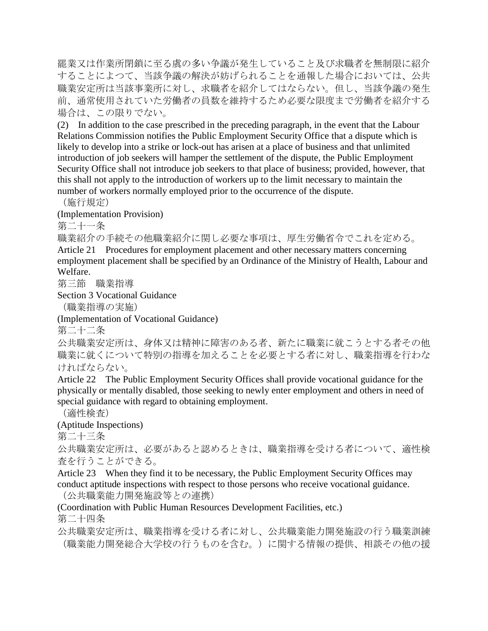罷業又は作業所閉鎖に至る虞の多い争議が発生していること及び求職者を無制限に紹介 することによつて、当該争議の解決が妨げられることを通報した場合においては、公共 職業安定所は当該事業所に対し、求職者を紹介してはならない。但し、当該争議の発生 前、通常使用されていた労働者の員数を維持するため必要な限度まで労働者を紹介する 場合は、この限りでない。

(2) In addition to the case prescribed in the preceding paragraph, in the event that the Labour Relations Commission notifies the Public Employment Security Office that a dispute which is likely to develop into a strike or lock-out has arisen at a place of business and that unlimited introduction of job seekers will hamper the settlement of the dispute, the Public Employment Security Office shall not introduce job seekers to that place of business; provided, however, that this shall not apply to the introduction of workers up to the limit necessary to maintain the number of workers normally employed prior to the occurrence of the dispute.

(施行規定)

(Implementation Provision)

第二十一条

職業紹介の手続その他職業紹介に関し必要な事項は、厚生労働省令でこれを定める。 Article 21 Procedures for employment placement and other necessary matters concerning employment placement shall be specified by an Ordinance of the Ministry of Health, Labour and Welfare.

第三節 職業指導

Section 3 Vocational Guidance

(職業指導の実施)

(Implementation of Vocational Guidance)

第二十二条

公共職業安定所は、身体又は精神に障害のある者、新たに職業に就こうとする者その他 職業に就くについて特別の指導を加えることを必要とする者に対し、職業指導を行わな ければならない。

Article 22 The Public Employment Security Offices shall provide vocational guidance for the physically or mentally disabled, those seeking to newly enter employment and others in need of special guidance with regard to obtaining employment.

(適性検査)

(Aptitude Inspections)

第二十三条

公共職業安定所は、必要があると認めるときは、職業指導を受ける者について、適性検 査を行うことができる。

Article 23 When they find it to be necessary, the Public Employment Security Offices may conduct aptitude inspections with respect to those persons who receive vocational guidance. (公共職業能力開発施設等との連携)

(Coordination with Public Human Resources Development Facilities, etc.)

第二十四条

公共職業安定所は、職業指導を受ける者に対し、公共職業能力開発施設の行う職業訓練 (職業能力開発総合大学校の行うものを含む。)に関する情報の提供、相談その他の援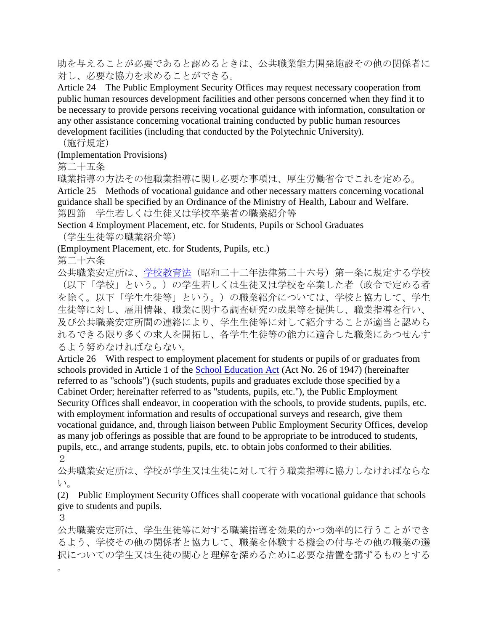助を与えることが必要であると認めるときは、公共職業能力開発施設その他の関係者に 対し、必要な協力を求めることができる。

Article 24 The Public Employment Security Offices may request necessary cooperation from public human resources development facilities and other persons concerned when they find it to be necessary to provide persons receiving vocational guidance with information, consultation or any other assistance concerning vocational training conducted by public human resources development facilities (including that conducted by the Polytechnic University).

(施行規定)

(Implementation Provisions)

第二十五条

職業指導の方法その他職業指導に関し必要な事項は、厚生労働省令でこれを定める。

Article 25 Methods of vocational guidance and other necessary matters concerning vocational guidance shall be specified by an Ordinance of the Ministry of Health, Labour and Welfare. 第四節 学生若しくは生徒又は学校卒業者の職業紹介等

Section 4 Employment Placement, etc. for Students, Pupils or School Graduates (学生生徒等の職業紹介等)

(Employment Placement, etc. for Students, Pupils, etc.)

第二十六条

公共職業安定所は[、学校教育法\(](http://www.japaneselawtranslation.go.jp/law/detail_main?id=272&vm=4&re=)昭和二十二年法律第二十六号)第一条に規定する学校 (以下「学校」という。)の学生若しくは生徒又は学校を卒業した者(政令で定める者 を除く。以下「学生生徒等」という。)の職業紹介については、学校と協力して、学生 生徒等に対し、雇用情報、職業に関する調査研究の成果等を提供し、職業指導を行い、 及び公共職業安定所間の連絡により、学生生徒等に対して紹介することが適当と認めら れるできる限り多くの求人を開拓し、各学生生徒等の能力に適合した職業にあつせんす るよう努めなければならない。

Article 26 With respect to employment placement for students or pupils of or graduates from schools provided in Article 1 of the [School Education Act](http://www.japaneselawtranslation.go.jp/law/detail_main?id=272&vm=4&re=) (Act No. 26 of 1947) (hereinafter referred to as "schools") (such students, pupils and graduates exclude those specified by a Cabinet Order; hereinafter referred to as "students, pupils, etc."), the Public Employment Security Offices shall endeavor, in cooperation with the schools, to provide students, pupils, etc. with employment information and results of occupational surveys and research, give them vocational guidance, and, through liaison between Public Employment Security Offices, develop as many job offerings as possible that are found to be appropriate to be introduced to students, pupils, etc., and arrange students, pupils, etc. to obtain jobs conformed to their abilities. 2

公共職業安定所は、学校が学生又は生徒に対して行う職業指導に協力しなければならな い。

(2) Public Employment Security Offices shall cooperate with vocational guidance that schools give to students and pupils.

3

 $\circ$ 

公共職業安定所は、学生生徒等に対する職業指導を効果的かつ効率的に行うことができ るよう、学校その他の関係者と協力して、職業を体験する機会の付与その他の職業の選 択についての学生又は生徒の関心と理解を深めるために必要な措置を講ずるものとする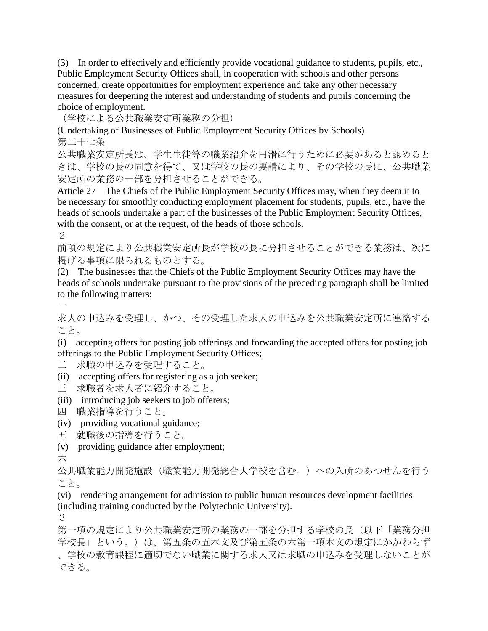(3) In order to effectively and efficiently provide vocational guidance to students, pupils, etc., Public Employment Security Offices shall, in cooperation with schools and other persons concerned, create opportunities for employment experience and take any other necessary measures for deepening the interest and understanding of students and pupils concerning the choice of employment.

(学校による公共職業安定所業務の分担)

(Undertaking of Businesses of Public Employment Security Offices by Schools) 第二十七条

公共職業安定所長は、学生生徒等の職業紹介を円滑に行うために必要があると認めると きは、学校の長の同意を得て、又は学校の長の要請により、その学校の長に、公共職業 安定所の業務の一部を分担させることができる。

Article 27 The Chiefs of the Public Employment Security Offices may, when they deem it to be necessary for smoothly conducting employment placement for students, pupils, etc., have the heads of schools undertake a part of the businesses of the Public Employment Security Offices, with the consent, or at the request, of the heads of those schools.

2

前項の規定により公共職業安定所長が学校の長に分担させることができる業務は、次に 掲げる事項に限られるものとする。

(2) The businesses that the Chiefs of the Public Employment Security Offices may have the heads of schools undertake pursuant to the provisions of the preceding paragraph shall be limited to the following matters:

一

求人の申込みを受理し、かつ、その受理した求人の申込みを公共職業安定所に連絡する こと。

(i) accepting offers for posting job offerings and forwarding the accepted offers for posting job offerings to the Public Employment Security Offices;

二 求職の申込みを受理すること。

(ii) accepting offers for registering as a job seeker;

三 求職者を求人者に紹介すること。

(iii) introducing job seekers to job offerers;

四 職業指導を行うこと。

(iv) providing vocational guidance;

- 五 就職後の指導を行うこと。
- (v) providing guidance after employment;

六

公共職業能力開発施設(職業能力開発総合大学校を含む。)への入所のあつせんを行う こと。

(vi) rendering arrangement for admission to public human resources development facilities (including training conducted by the Polytechnic University).

3

第一項の規定により公共職業安定所の業務の一部を分担する学校の長(以下「業務分担 学校長」という。)は、第五条の五本文及び第五条の六第一項本文の規定にかかわらず 、学校の教育課程に適切でない職業に関する求人又は求職の申込みを受理しないことが できる。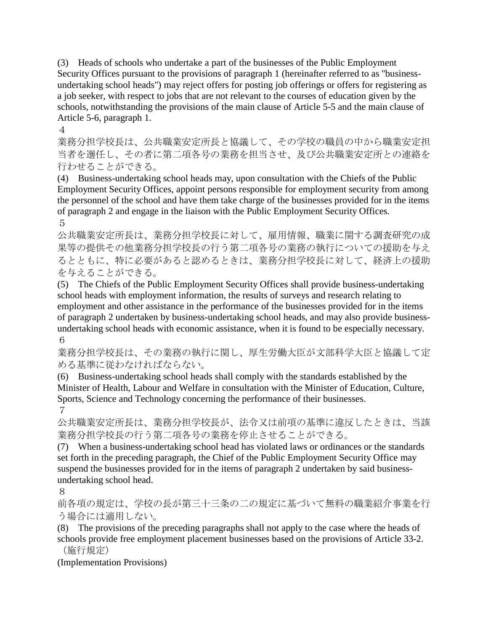(3) Heads of schools who undertake a part of the businesses of the Public Employment Security Offices pursuant to the provisions of paragraph 1 (hereinafter referred to as "businessundertaking school heads") may reject offers for posting job offerings or offers for registering as a job seeker, with respect to jobs that are not relevant to the courses of education given by the schools, notwithstanding the provisions of the main clause of Article 5-5 and the main clause of Article 5-6, paragraph 1.

4

業務分担学校長は、公共職業安定所長と協議して、その学校の職員の中から職業安定担 当者を選任し、その者に第二項各号の業務を担当させ、及び公共職業安定所との連絡を 行わせることができる。

(4) Business-undertaking school heads may, upon consultation with the Chiefs of the Public Employment Security Offices, appoint persons responsible for employment security from among the personnel of the school and have them take charge of the businesses provided for in the items of paragraph 2 and engage in the liaison with the Public Employment Security Offices. 5

公共職業安定所長は、業務分担学校長に対して、雇用情報、職業に関する調査研究の成 果等の提供その他業務分担学校長の行う第二項各号の業務の執行についての援助を与え るとともに、特に必要があると認めるときは、業務分担学校長に対して、経済上の援助 を与えることができる。

(5) The Chiefs of the Public Employment Security Offices shall provide business-undertaking school heads with employment information, the results of surveys and research relating to employment and other assistance in the performance of the businesses provided for in the items of paragraph 2 undertaken by business-undertaking school heads, and may also provide businessundertaking school heads with economic assistance, when it is found to be especially necessary. 6

業務分担学校長は、その業務の執行に関し、厚生労働大臣が文部科学大臣と協議して定 める基準に従わなければならない。

(6) Business-undertaking school heads shall comply with the standards established by the Minister of Health, Labour and Welfare in consultation with the Minister of Education, Culture, Sports, Science and Technology concerning the performance of their businesses. 7

公共職業安定所長は、業務分担学校長が、法令又は前項の基準に違反したときは、当該 業務分担学校長の行う第二項各号の業務を停止させることができる。

(7) When a business-undertaking school head has violated laws or ordinances or the standards set forth in the preceding paragraph, the Chief of the Public Employment Security Office may suspend the businesses provided for in the items of paragraph 2 undertaken by said businessundertaking school head.

8

前各項の規定は、学校の長が第三十三条の二の規定に基づいて無料の職業紹介事業を行 う場合には適用しない。

(8) The provisions of the preceding paragraphs shall not apply to the case where the heads of schools provide free employment placement businesses based on the provisions of Article 33-2. (施行規定)

(Implementation Provisions)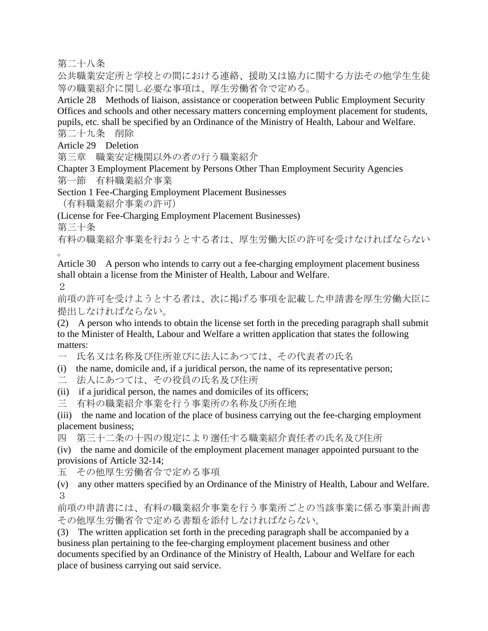第二十八条

公共職業安定所と学校との間における連絡、援助又は協力に関する方法その他学生生徒 等の職業紹介に関し必要な事項は、厚生労働省令で定める。

Article 28 Methods of liaison, assistance or cooperation between Public Employment Security Offices and schools and other necessary matters concerning employment placement for students, pupils, etc. shall be specified by an Ordinance of the Ministry of Health, Labour and Welfare. 第二十九条 削除

Article 29 Deletion

第三章 職業安定機関以外の者の行う職業紹介

Chapter 3 Employment Placement by Persons Other Than Employment Security Agencies 第一節 有料職業紹介事業

Section 1 Fee-Charging Employment Placement Businesses

(有料職業紹介事業の許可)

(License for Fee-Charging Employment Placement Businesses)

第三十条

有料の職業紹介事業を行おうとする者は、厚生労働大臣の許可を受けなければならない 。

Article 30 A person who intends to carry out a fee-charging employment placement business shall obtain a license from the Minister of Health, Labour and Welfare.

2

前項の許可を受けようとする者は、次に掲げる事項を記載した申請書を厚生労働大臣に 提出しなければならない。

(2) A person who intends to obtain the license set forth in the preceding paragraph shall submit to the Minister of Health, Labour and Welfare a written application that states the following matters:

一 氏名又は名称及び住所並びに法人にあつては、その代表者の氏名

(i) the name, domicile and, if a juridical person, the name of its representative person;

二 法人にあつては、その役員の氏名及び住所

(ii) if a juridical person, the names and domiciles of its officers;

三 有料の職業紹介事業を行う事業所の名称及び所在地

(iii) the name and location of the place of business carrying out the fee-charging employment placement business;

四 第三十二条の十四の規定により選任する職業紹介責任者の氏名及び住所

(iv) the name and domicile of the employment placement manager appointed pursuant to the provisions of Article 32-14;

五 その他厚生労働省令で定める事項

(v) any other matters specified by an Ordinance of the Ministry of Health, Labour and Welfare. 3

前項の申請書には、有料の職業紹介事業を行う事業所ごとの当該事業に係る事業計画書 その他厚生労働省令で定める書類を添付しなければならない。

(3) The written application set forth in the preceding paragraph shall be accompanied by a business plan pertaining to the fee-charging employment placement business and other documents specified by an Ordinance of the Ministry of Health, Labour and Welfare for each place of business carrying out said service.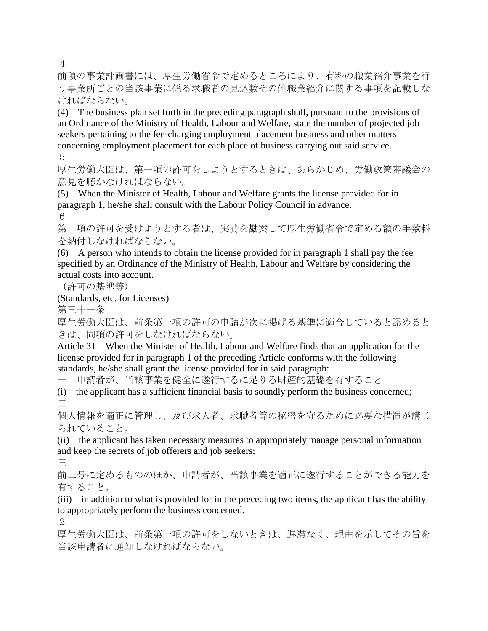4

前項の事業計画書には、厚生労働省令で定めるところにより、有料の職業紹介事業を行 う事業所ごとの当該事業に係る求職者の見込数その他職業紹介に関する事項を記載しな ければならない。

(4) The business plan set forth in the preceding paragraph shall, pursuant to the provisions of an Ordinance of the Ministry of Health, Labour and Welfare, state the number of projected job seekers pertaining to the fee-charging employment placement business and other matters concerning employment placement for each place of business carrying out said service. 5

厚生労働大臣は、第一項の許可をしようとするときは、あらかじめ、労働政策審議会の 意見を聴かなければならない。

(5) When the Minister of Health, Labour and Welfare grants the license provided for in paragraph 1, he/she shall consult with the Labour Policy Council in advance.

6

第一項の許可を受けようとする者は、実費を勘案して厚生労働省令で定める額の手数料 を納付しなければならない。

(6) A person who intends to obtain the license provided for in paragraph 1 shall pay the fee specified by an Ordinance of the Ministry of Health, Labour and Welfare by considering the actual costs into account.

(許可の基準等)

(Standards, etc. for Licenses)

第三十一条

厚生労働大臣は、前条第一項の許可の申請が次に掲げる基準に適合していると認めると きは、同項の許可をしなければならない。

Article 31 When the Minister of Health, Labour and Welfare finds that an application for the license provided for in paragraph 1 of the preceding Article conforms with the following standards, he/she shall grant the license provided for in said paragraph:

一 申請者が、当該事業を健全に遂行するに足りる財産的基礎を有すること。

(i) the applicant has a sufficient financial basis to soundly perform the business concerned; 二

個人情報を適正に管理し、及び求人者、求職者等の秘密を守るために必要な措置が講じ られていること。

(ii) the applicant has taken necessary measures to appropriately manage personal information and keep the secrets of job offerers and job seekers;

三

前二号に定めるもののほか、申請者が、当該事業を適正に遂行することができる能力を 有すること。

(iii) in addition to what is provided for in the preceding two items, the applicant has the ability to appropriately perform the business concerned.

2

厚生労働大臣は、前条第一項の許可をしないときは、遅滞なく、理由を示してその旨を 当該申請者に通知しなければならない。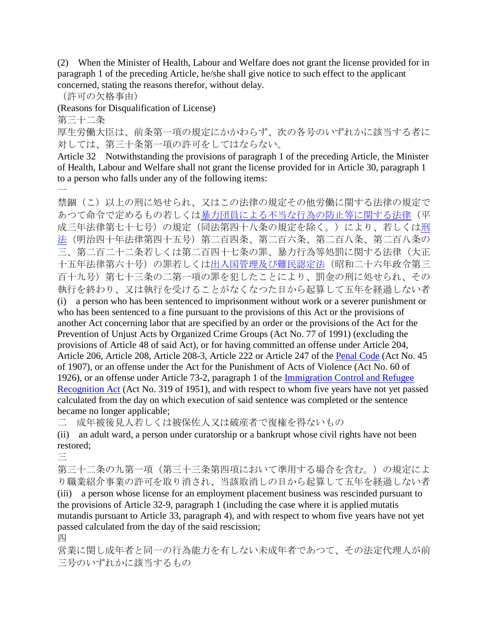(2) When the Minister of Health, Labour and Welfare does not grant the license provided for in paragraph 1 of the preceding Article, he/she shall give notice to such effect to the applicant concerned, stating the reasons therefor, without delay.

(許可の欠格事由)

(Reasons for Disqualification of License)

第三十二条

厚生労働大臣は、前条第一項の規定にかかわらず、次の各号のいずれかに該当する者に 対しては、第三十条第一項の許可をしてはならない。

Article 32 Notwithstanding the provisions of paragraph 1 of the preceding Article, the Minister of Health, Labour and Welfare shall not grant the license provided for in Article 30, paragraph 1 to a person who falls under any of the following items:  $\overline{\phantom{a}}$ 

禁錮(こ)以上の刑に処せられ、又はこの法律の規定その他労働に関する法律の規定で おつて命令で定めるもの若しくは<u>暴力団員による不当な行為の防止等に関する法律</u>(平 成三年法律第七十七号)の規定(同法第四十八条の規定を除く。)により、若しく[は刑](http://www.japaneselawtranslation.go.jp/law/detail_main?id=3&vm=4&re=) [法\(](http://www.japaneselawtranslation.go.jp/law/detail_main?id=3&vm=4&re=)明治四十年法律第四十五号)第二百四条、第二百六条、第二百八条、第二百八条の 三、第二百二十二条若しくは第二百四十七条の罪、暴力行為等処罰に関する法律(大正 十五年法律第六十号)の罪若しく[は出入国管理及び難民認定法\(](http://www.japaneselawtranslation.go.jp/law/detail_main?id=173&vm=4&re=)昭和二十六年政令第三 百十九号)第七十三条の二第一項の罪を犯したことにより、罰金の刑に処せられ、その 執行を終わり、又は執行を受けることがなくなつた日から起算して五年を経過しない者

(i) a person who has been sentenced to imprisonment without work or a severer punishment or who has been sentenced to a fine pursuant to the provisions of this Act or the provisions of another Act concerning labor that are specified by an order or the provisions of the Act for the Prevention of Unjust Acts by Organized Crime Groups (Act No. 77 of 1991) (excluding the provisions of Article 48 of said Act), or for having committed an offense under Article 204, Article 206, Article 208, Article 208-3, Article 222 or Article 247 of the [Penal Code](http://www.japaneselawtranslation.go.jp/law/detail_main?id=3&vm=4&re=) (Act No. 45 of 1907), or an offense under the Act for the Punishment of Acts of Violence (Act No. 60 of 1926), or an offense under Article 73-2, paragraph 1 of the [Immigration Control and Refugee](http://www.japaneselawtranslation.go.jp/law/detail_main?id=173&vm=4&re=)  [Recognition Act](http://www.japaneselawtranslation.go.jp/law/detail_main?id=173&vm=4&re=) (Act No. 319 of 1951), and with respect to whom five years have not yet passed calculated from the day on which execution of said sentence was completed or the sentence became no longer applicable;

二 成年被後見人若しくは被保佐人又は破産者で復権を得ないもの

(ii) an adult ward, a person under curatorship or a bankrupt whose civil rights have not been restored;

三

第三十二条の九第一項(第三十三条第四項において準用する場合を含む。)の規定によ り職業紹介事業の許可を取り消され、当該取消しの日から起算して五年を経過しない者 (iii) a person whose license for an employment placement business was rescinded pursuant to the provisions of Article 32-9, paragraph 1 (including the case where it is applied mutatis mutandis pursuant to Article 33, paragraph 4), and with respect to whom five years have not yet passed calculated from the day of the said rescission;

四

営業に関し成年者と同一の行為能力を有しない未成年者であつて、その法定代理人が前 三号のいずれかに該当するもの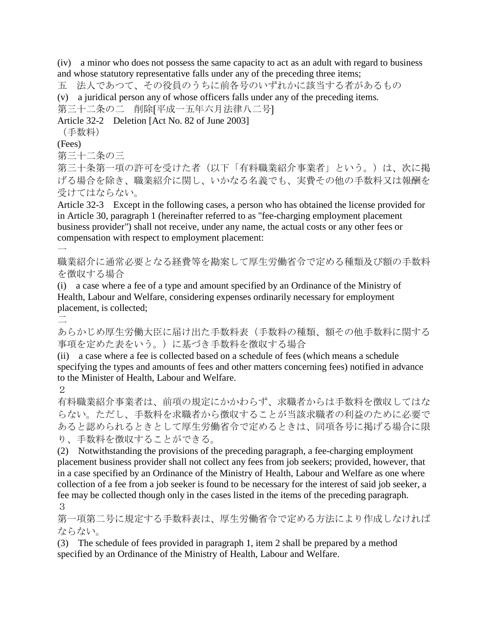(iv) a minor who does not possess the same capacity to act as an adult with regard to business and whose statutory representative falls under any of the preceding three items;

五 法人であつて、その役員のうちに前各号のいずれかに該当する者があるもの

(v) a juridical person any of whose officers falls under any of the preceding items.

第三十二条の二 削除〔平成一五年六月法律八二号〕

Article 32-2 Deletion [Act No. 82 of June 2003]

(手数料)

(Fees)

第三十二条の三

第三十条第一項の許可を受けた者(以下「有料職業紹介事業者」という。)は、次に掲 げる場合を除き、職業紹介に関し、いかなる名義でも、実費その他の手数料又は報酬を 受けてはならない。

Article 32-3 Except in the following cases, a person who has obtained the license provided for in Article 30, paragraph 1 (hereinafter referred to as "fee-charging employment placement business provider") shall not receive, under any name, the actual costs or any other fees or compensation with respect to employment placement:

職業紹介に通常必要となる経費等を勘案して厚生労働省令で定める種類及び額の手数料 を徴収する場合

(i) a case where a fee of a type and amount specified by an Ordinance of the Ministry of Health, Labour and Welfare, considering expenses ordinarily necessary for employment placement, is collected;

二

 $\overline{\phantom{a}}$ 

あらかじめ厚生労働大臣に届け出た手数料表(手数料の種類、額その他手数料に関する 事項を定めた表をいう。)に基づき手数料を徴収する場合

(ii) a case where a fee is collected based on a schedule of fees (which means a schedule specifying the types and amounts of fees and other matters concerning fees) notified in advance to the Minister of Health, Labour and Welfare.

2

有料職業紹介事業者は、前項の規定にかかわらず、求職者からは手数料を徴収してはな らない。ただし、手数料を求職者から徴収することが当該求職者の利益のために必要で あると認められるときとして厚生労働省令で定めるときは、同項各号に掲げる場合に限 り、手数料を徴収することができる。

(2) Notwithstanding the provisions of the preceding paragraph, a fee-charging employment placement business provider shall not collect any fees from job seekers; provided, however, that in a case specified by an Ordinance of the Ministry of Health, Labour and Welfare as one where collection of a fee from a job seeker is found to be necessary for the interest of said job seeker, a fee may be collected though only in the cases listed in the items of the preceding paragraph. 3

第一項第二号に規定する手数料表は、厚生労働省令で定める方法により作成しなければ ならない。

(3) The schedule of fees provided in paragraph 1, item 2 shall be prepared by a method specified by an Ordinance of the Ministry of Health, Labour and Welfare.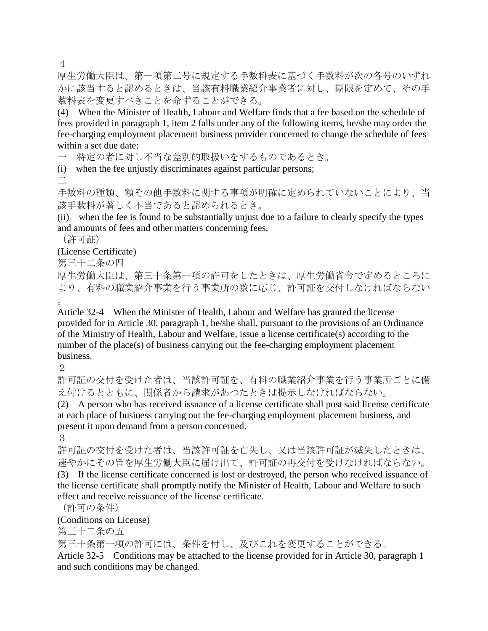4

厚生労働大臣は、第一項第二号に規定する手数料表に基づく手数料が次の各号のいずれ かに該当すると認めるときは、当該有料職業紹介事業者に対し、期限を定めて、その手 数料表を変更すべきことを命ずることができる。

(4) When the Minister of Health, Labour and Welfare finds that a fee based on the schedule of fees provided in paragraph 1, item 2 falls under any of the following items, he/she may order the fee-charging employment placement business provider concerned to change the schedule of fees within a set due date:

一 特定の者に対し不当な差別的取扱いをするものであるとき。

(i) when the fee unjustly discriminates against particular persons; 二

手数料の種類、額その他手数料に関する事項が明確に定められていないことにより、当 該手数料が著しく不当であると認められるとき。

(ii) when the fee is found to be substantially unjust due to a failure to clearly specify the types and amounts of fees and other matters concerning fees.

(許可証)

# (License Certificate)

第三十二条の四

厚生労働大臣は、第三十条第一項の許可をしたときは、厚生労働省令で定めるところに より、有料の職業紹介事業を行う事業所の数に応じ、許可証を交付しなければならない 。

Article 32-4 When the Minister of Health, Labour and Welfare has granted the license provided for in Article 30, paragraph 1, he/she shall, pursuant to the provisions of an Ordinance of the Ministry of Health, Labour and Welfare, issue a license certificate(s) according to the number of the place(s) of business carrying out the fee-charging employment placement business.

2

許可証の交付を受けた者は、当該許可証を、有料の職業紹介事業を行う事業所ごとに備 え付けるとともに、関係者から請求があつたときは提示しなければならない。

(2) A person who has received issuance of a license certificate shall post said license certificate at each place of business carrying out the fee-charging employment placement business, and present it upon demand from a person concerned.

3

許可証の交付を受けた者は、当該許可証を亡失し、又は当該許可証が滅失したときは、 速やかにその旨を厚生労働大臣に届け出て、許可証の再交付を受けなければならない。 (3) If the license certificate concerned is lost or destroyed, the person who received issuance of the license certificate shall promptly notify the Minister of Health, Labour and Welfare to such

effect and receive reissuance of the license certificate.

(許可の条件)

(Conditions on License)

第三十二条の五

第三十条第一項の許可には、条件を付し、及びこれを変更することができる。

Article 32-5 Conditions may be attached to the license provided for in Article 30, paragraph 1 and such conditions may be changed.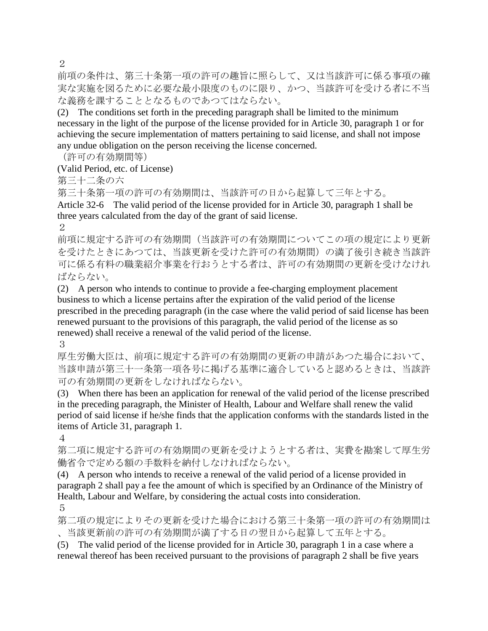2

前項の条件は、第三十条第一項の許可の趣旨に照らして、又は当該許可に係る事項の確 実な実施を図るために必要な最小限度のものに限り、かつ、当該許可を受ける者に不当 な義務を課することとなるものであつてはならない。

(2) The conditions set forth in the preceding paragraph shall be limited to the minimum necessary in the light of the purpose of the license provided for in Article 30, paragraph 1 or for achieving the secure implementation of matters pertaining to said license, and shall not impose any undue obligation on the person receiving the license concerned.

(許可の有効期間等)

(Valid Period, etc. of License)

第三十二条の六

第三十条第一項の許可の有効期間は、当該許可の日から起算して三年とする。

Article 32-6 The valid period of the license provided for in Article 30, paragraph 1 shall be three years calculated from the day of the grant of said license. 2

前項に規定する許可の有効期間(当該許可の有効期間についてこの項の規定により更新

を受けたときにあつては、当該更新を受けた許可の有効期間)の満了後引き続き当該許 可に係る有料の職業紹介事業を行おうとする者は、許可の有効期間の更新を受けなけれ ばならない。

(2) A person who intends to continue to provide a fee-charging employment placement business to which a license pertains after the expiration of the valid period of the license prescribed in the preceding paragraph (in the case where the valid period of said license has been renewed pursuant to the provisions of this paragraph, the valid period of the license as so renewed) shall receive a renewal of the valid period of the license.

3

厚生労働大臣は、前項に規定する許可の有効期間の更新の申請があつた場合において、 当該申請が第三十一条第一項各号に掲げる基準に適合していると認めるときは、当該許 可の有効期間の更新をしなければならない。

(3) When there has been an application for renewal of the valid period of the license prescribed in the preceding paragraph, the Minister of Health, Labour and Welfare shall renew the valid period of said license if he/she finds that the application conforms with the standards listed in the items of Article 31, paragraph 1.

4

第二項に規定する許可の有効期間の更新を受けようとする者は、実費を勘案して厚生労 働省令で定める額の手数料を納付しなければならない。

(4) A person who intends to receive a renewal of the valid period of a license provided in paragraph 2 shall pay a fee the amount of which is specified by an Ordinance of the Ministry of Health, Labour and Welfare, by considering the actual costs into consideration.

5

第二項の規定によりその更新を受けた場合における第三十条第一項の許可の有効期間は 、当該更新前の許可の有効期間が満了する日の翌日から起算して五年とする。

(5) The valid period of the license provided for in Article 30, paragraph 1 in a case where a renewal thereof has been received pursuant to the provisions of paragraph 2 shall be five years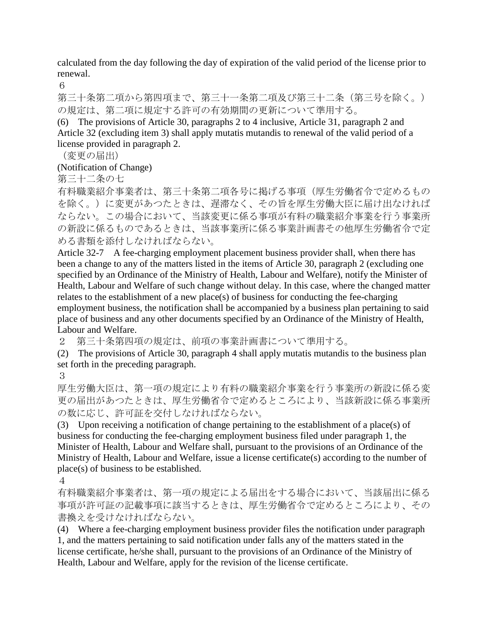calculated from the day following the day of expiration of the valid period of the license prior to renewal.

6

第三十条第二項から第四項まで、第三十一条第二項及び第三十二条(第三号を除く。) の規定は、第二項に規定する許可の有効期間の更新について準用する。

(6) The provisions of Article 30, paragraphs 2 to 4 inclusive, Article 31, paragraph 2 and Article 32 (excluding item 3) shall apply mutatis mutandis to renewal of the valid period of a license provided in paragraph 2.

(変更の届出)

(Notification of Change)

第三十二条の七

有料職業紹介事業者は、第三十条第二項各号に掲げる事項(厚生労働省令で定めるもの を除く。)に変更があつたときは、遅滞なく、その旨を厚生労働大臣に届け出なければ ならない。この場合において、当該変更に係る事項が有料の職業紹介事業を行う事業所 の新設に係るものであるときは、当該事業所に係る事業計画書その他厚生労働省令で定 める書類を添付しなければならない。

Article 32-7 A fee-charging employment placement business provider shall, when there has been a change to any of the matters listed in the items of Article 30, paragraph 2 (excluding one specified by an Ordinance of the Ministry of Health, Labour and Welfare), notify the Minister of Health, Labour and Welfare of such change without delay. In this case, where the changed matter relates to the establishment of a new place(s) of business for conducting the fee-charging employment business, the notification shall be accompanied by a business plan pertaining to said place of business and any other documents specified by an Ordinance of the Ministry of Health, Labour and Welfare.

2 第三十条第四項の規定は、前項の事業計画書について準用する。

(2) The provisions of Article 30, paragraph 4 shall apply mutatis mutandis to the business plan set forth in the preceding paragraph.

3

厚生労働大臣は、第一項の規定により有料の職業紹介事業を行う事業所の新設に係る変 更の届出があつたときは、厚生労働省令で定めるところにより、当該新設に係る事業所 の数に応じ、許可証を交付しなければならない。

(3) Upon receiving a notification of change pertaining to the establishment of a place(s) of business for conducting the fee-charging employment business filed under paragraph 1, the Minister of Health, Labour and Welfare shall, pursuant to the provisions of an Ordinance of the Ministry of Health, Labour and Welfare, issue a license certificate(s) according to the number of place(s) of business to be established.

4

有料職業紹介事業者は、第一項の規定による届出をする場合において、当該届出に係る 事項が許可証の記載事項に該当するときは、厚生労働省令で定めるところにより、その 書換えを受けなければならない。

(4) Where a fee-charging employment business provider files the notification under paragraph 1, and the matters pertaining to said notification under falls any of the matters stated in the license certificate, he/she shall, pursuant to the provisions of an Ordinance of the Ministry of Health, Labour and Welfare, apply for the revision of the license certificate.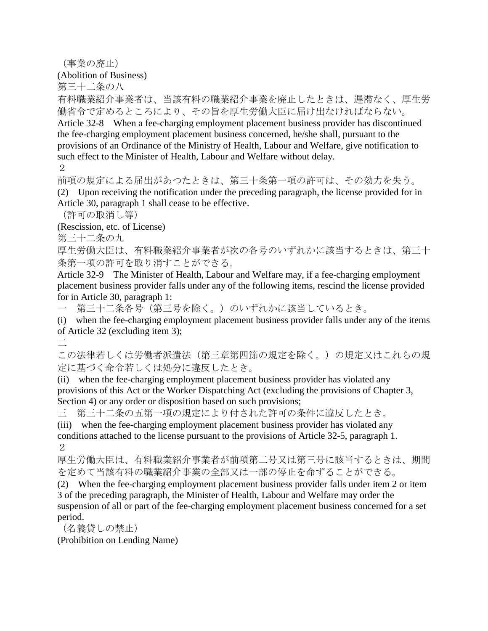(事業の廃止)

(Abolition of Business)

第三十二条の八

有料職業紹介事業者は、当該有料の職業紹介事業を廃止したときは、遅滞なく、厚生労 働省令で定めるところにより、その旨を厚生労働大臣に届け出なければならない。

Article 32-8 When a fee-charging employment placement business provider has discontinued the fee-charging employment placement business concerned, he/she shall, pursuant to the provisions of an Ordinance of the Ministry of Health, Labour and Welfare, give notification to such effect to the Minister of Health, Labour and Welfare without delay.

2

前項の規定による届出があつたときは、第三十条第一項の許可は、その効力を失う。 (2) Upon receiving the notification under the preceding paragraph, the license provided for in Article 30, paragraph 1 shall cease to be effective.

(許可の取消し等)

(Rescission, etc. of License)

第三十二条の九

厚生労働大臣は、有料職業紹介事業者が次の各号のいずれかに該当するときは、第三十 条第一項の許可を取り消すことができる。

Article 32-9 The Minister of Health, Labour and Welfare may, if a fee-charging employment placement business provider falls under any of the following items, rescind the license provided for in Article 30, paragraph 1:

一 第三十二条各号(第三号を除く。)のいずれかに該当しているとき。

(i) when the fee-charging employment placement business provider falls under any of the items of Article 32 (excluding item 3);

二

この法律若しくは労働者派遣法(第三章第四節の規定を除く。)の規定又はこれらの規 定に基づく命令若しくは処分に違反したとき。

(ii) when the fee-charging employment placement business provider has violated any provisions of this Act or the Worker Dispatching Act (excluding the provisions of Chapter 3, Section 4) or any order or disposition based on such provisions;

三 第三十二条の五第一項の規定により付された許可の条件に違反したとき。

(iii) when the fee-charging employment placement business provider has violated any conditions attached to the license pursuant to the provisions of Article 32-5, paragraph 1. 2

厚生労働大臣は、有料職業紹介事業者が前項第二号又は第三号に該当するときは、期間 を定めて当該有料の職業紹介事業の全部又は一部の停止を命ずることができる。

(2) When the fee-charging employment placement business provider falls under item 2 or item 3 of the preceding paragraph, the Minister of Health, Labour and Welfare may order the suspension of all or part of the fee-charging employment placement business concerned for a set period.

(名義貸しの禁止)

(Prohibition on Lending Name)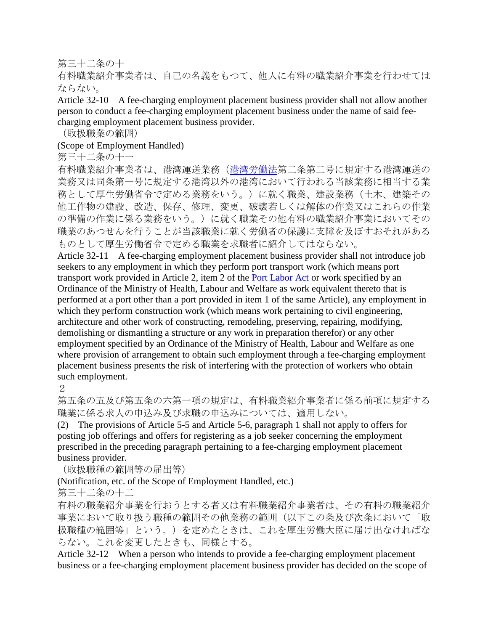### 第三十二条の十

有料職業紹介事業者は、自己の名義をもつて、他人に有料の職業紹介事業を行わせては ならない。

Article 32-10 A fee-charging employment placement business provider shall not allow another person to conduct a fee-charging employment placement business under the name of said feecharging employment placement business provider.

(取扱職業の範囲)

# (Scope of Employment Handled)

### 第三十二条の十一

有料職業紹介事業者は、港湾運送業務[\(港湾労働法第](http://www.japaneselawtranslation.go.jp/law/detail_main?id=1164&vm=4&re=)二条第二号に規定する港湾運送の 業務又は同条第一号に規定する港湾以外の港湾において行われる当該業務に相当する業 務として厚生労働省令で定める業務をいう。)に就く職業、建設業務(土木、建築その 他工作物の建設、改造、保存、修理、変更、破壊若しくは解体の作業又はこれらの作業 の準備の作業に係る業務をいう。)に就く職業その他有料の職業紹介事業においてその 職業のあつせんを行うことが当該職業に就く労働者の保護に支障を及ぼすおそれがある ものとして厚生労働省令で定める職業を求職者に紹介してはならない。

Article 32-11 A fee-charging employment placement business provider shall not introduce job seekers to any employment in which they perform port transport work (which means port transport work provided in Article 2, item 2 of the [Port Labor Act o](http://www.japaneselawtranslation.go.jp/law/detail_main?id=1164&vm=4&re=)r work specified by an Ordinance of the Ministry of Health, Labour and Welfare as work equivalent thereto that is performed at a port other than a port provided in item 1 of the same Article), any employment in which they perform construction work (which means work pertaining to civil engineering, architecture and other work of constructing, remodeling, preserving, repairing, modifying, demolishing or dismantling a structure or any work in preparation therefor) or any other employment specified by an Ordinance of the Ministry of Health, Labour and Welfare as one where provision of arrangement to obtain such employment through a fee-charging employment placement business presents the risk of interfering with the protection of workers who obtain such employment.

2

第五条の五及び第五条の六第一項の規定は、有料職業紹介事業者に係る前項に規定する 職業に係る求人の申込み及び求職の申込みについては、適用しない。

(2) The provisions of Article 5-5 and Article 5-6, paragraph 1 shall not apply to offers for posting job offerings and offers for registering as a job seeker concerning the employment prescribed in the preceding paragraph pertaining to a fee-charging employment placement business provider.

(取扱職種の範囲等の届出等)

(Notification, etc. of the Scope of Employment Handled, etc.)

第三十二条の十二

有料の職業紹介事業を行おうとする者又は有料職業紹介事業者は、その有料の職業紹介 事業において取り扱う職種の範囲その他業務の範囲(以下この条及び次条において「取 扱職種の範囲等」という。)を定めたときは、これを厚生労働大臣に届け出なければな らない。これを変更したときも、同様とする。

Article 32-12 When a person who intends to provide a fee-charging employment placement business or a fee-charging employment placement business provider has decided on the scope of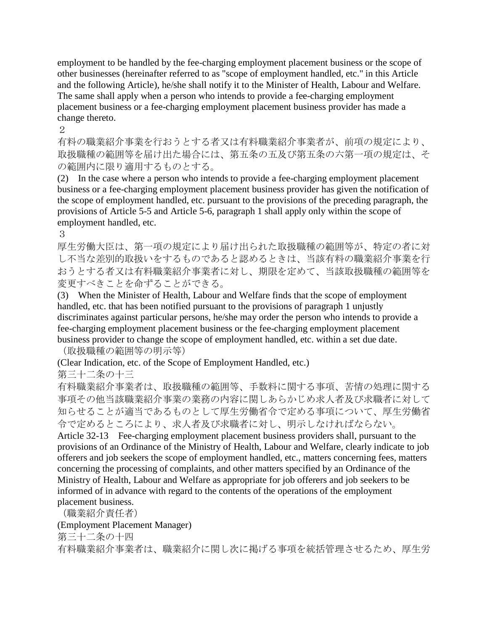employment to be handled by the fee-charging employment placement business or the scope of other businesses (hereinafter referred to as "scope of employment handled, etc." in this Article and the following Article), he/she shall notify it to the Minister of Health, Labour and Welfare. The same shall apply when a person who intends to provide a fee-charging employment placement business or a fee-charging employment placement business provider has made a change thereto.

 $\mathcal{D}_{\alpha}$ 

有料の職業紹介事業を行おうとする者又は有料職業紹介事業者が、前項の規定により、 取扱職種の範囲等を届け出た場合には、第五条の五及び第五条の六第一項の規定は、そ の範囲内に限り適用するものとする。

(2) In the case where a person who intends to provide a fee-charging employment placement business or a fee-charging employment placement business provider has given the notification of the scope of employment handled, etc. pursuant to the provisions of the preceding paragraph, the provisions of Article 5-5 and Article 5-6, paragraph 1 shall apply only within the scope of employment handled, etc.

3

厚生労働大臣は、第一項の規定により届け出られた取扱職種の範囲等が、特定の者に対 し不当な差別的取扱いをするものであると認めるときは、当該有料の職業紹介事業を行 おうとする者又は有料職業紹介事業者に対し、期限を定めて、当該取扱職種の範囲等を 変更すべきことを命ずることができる。

(3) When the Minister of Health, Labour and Welfare finds that the scope of employment handled, etc. that has been notified pursuant to the provisions of paragraph 1 unjustly discriminates against particular persons, he/she may order the person who intends to provide a fee-charging employment placement business or the fee-charging employment placement business provider to change the scope of employment handled, etc. within a set due date.

(取扱職種の範囲等の明示等)

(Clear Indication, etc. of the Scope of Employment Handled, etc.)

第三十二条の十三

有料職業紹介事業者は、取扱職種の範囲等、手数料に関する事項、苦情の処理に関する 事項その他当該職業紹介事業の業務の内容に関しあらかじめ求人者及び求職者に対して 知らせることが適当であるものとして厚生労働省令で定める事項について、厚生労働省 令で定めるところにより、求人者及び求職者に対し、明示しなければならない。

Article 32-13 Fee-charging employment placement business providers shall, pursuant to the provisions of an Ordinance of the Ministry of Health, Labour and Welfare, clearly indicate to job offerers and job seekers the scope of employment handled, etc., matters concerning fees, matters concerning the processing of complaints, and other matters specified by an Ordinance of the Ministry of Health, Labour and Welfare as appropriate for job offerers and job seekers to be informed of in advance with regard to the contents of the operations of the employment placement business.

(職業紹介責任者)

(Employment Placement Manager)

第三十二条の十四

有料職業紹介事業者は、職業紹介に関し次に掲げる事項を統括管理させるため、厚生労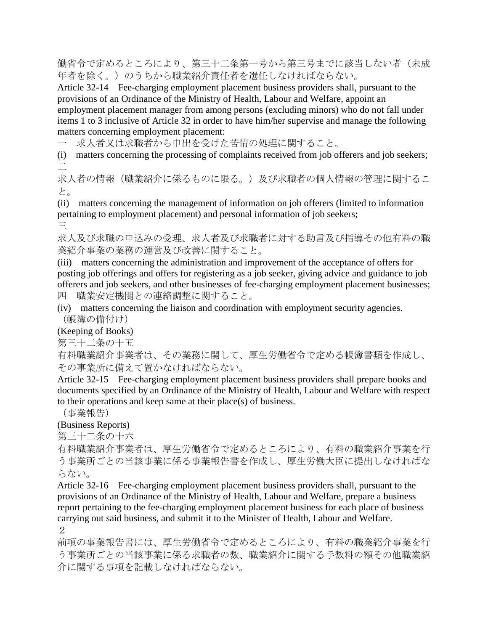働省令で定めるところにより、第三十二条第一号から第三号までに該当しない者(未成 年者を除く。)のうちから職業紹介責任者を選任しなければならない。

Article 32-14 Fee-charging employment placement business providers shall, pursuant to the provisions of an Ordinance of the Ministry of Health, Labour and Welfare, appoint an employment placement manager from among persons (excluding minors) who do not fall under items 1 to 3 inclusive of Article 32 in order to have him/her supervise and manage the following matters concerning employment placement:

一 求人者又は求職者から申出を受けた苦情の処理に関すること。

(i) matters concerning the processing of complaints received from job offerers and job seekers; 二

求人者の情報(職業紹介に係るものに限る。)及び求職者の個人情報の管理に関するこ と。

(ii) matters concerning the management of information on job offerers (limited to information pertaining to employment placement) and personal information of job seekers; 三

求人及び求職の申込みの受理、求人者及び求職者に対する助言及び指導その他有料の職 業紹介事業の業務の運営及び改善に関すること。

(iii) matters concerning the administration and improvement of the acceptance of offers for posting job offerings and offers for registering as a job seeker, giving advice and guidance to job offerers and job seekers, and other businesses of fee-charging employment placement businesses; 四 職業安定機関との連絡調整に関すること。

(iv) matters concerning the liaison and coordination with employment security agencies. (帳簿の備付け)

(Keeping of Books)

第三十二条の十五

有料職業紹介事業者は、その業務に関して、厚生労働省令で定める帳簿書類を作成し、 その事業所に備えて置かなければならない。

Article 32-15 Fee-charging employment placement business providers shall prepare books and documents specified by an Ordinance of the Ministry of Health, Labour and Welfare with respect to their operations and keep same at their place(s) of business.

(事業報告)

(Business Reports)

第三十二条の十六

有料職業紹介事業者は、厚生労働省令で定めるところにより、有料の職業紹介事業を行 う事業所ごとの当該事業に係る事業報告書を作成し、厚生労働大臣に提出しなければな らない。

Article 32-16 Fee-charging employment placement business providers shall, pursuant to the provisions of an Ordinance of the Ministry of Health, Labour and Welfare, prepare a business report pertaining to the fee-charging employment placement business for each place of business carrying out said business, and submit it to the Minister of Health, Labour and Welfare. 2

前項の事業報告書には、厚生労働省令で定めるところにより、有料の職業紹介事業を行 う事業所ごとの当該事業に係る求職者の数、職業紹介に関する手数料の額その他職業紹 介に関する事項を記載しなければならない。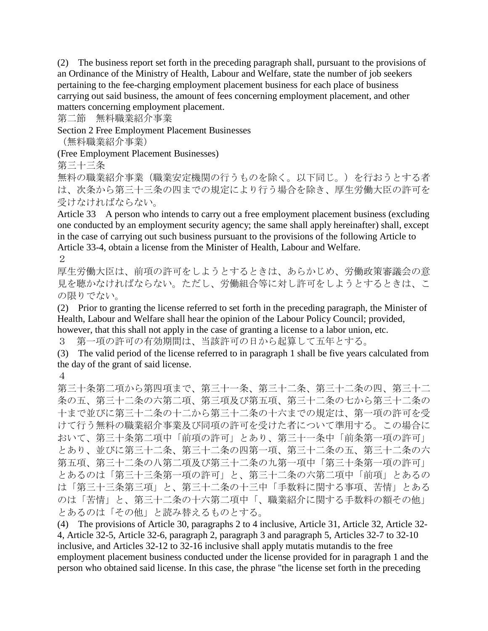(2) The business report set forth in the preceding paragraph shall, pursuant to the provisions of an Ordinance of the Ministry of Health, Labour and Welfare, state the number of job seekers pertaining to the fee-charging employment placement business for each place of business carrying out said business, the amount of fees concerning employment placement, and other matters concerning employment placement.

第二節 無料職業紹介事業

Section 2 Free Employment Placement Businesses

(無料職業紹介事業)

(Free Employment Placement Businesses)

第三十三条

無料の職業紹介事業(職業安定機関の行うものを除く。以下同じ。)を行おうとする者 は、次条から第三十三条の四までの規定により行う場合を除き、厚生労働大臣の許可を 受けなければならない。

Article 33 A person who intends to carry out a free employment placement business (excluding one conducted by an employment security agency; the same shall apply hereinafter) shall, except in the case of carrying out such business pursuant to the provisions of the following Article to Article 33-4, obtain a license from the Minister of Health, Labour and Welfare.

#### 2

厚生労働大臣は、前項の許可をしようとするときは、あらかじめ、労働政策審議会の意 見を聴かなければならない。ただし、労働組合等に対し許可をしようとするときは、こ の限りでない。

(2) Prior to granting the license referred to set forth in the preceding paragraph, the Minister of Health, Labour and Welfare shall hear the opinion of the Labour Policy Council; provided,

however, that this shall not apply in the case of granting a license to a labor union, etc.

3 第一項の許可の有効期間は、当該許可の日から起算して五年とする。

(3) The valid period of the license referred to in paragraph 1 shall be five years calculated from the day of the grant of said license.

4

第三十条第二項から第四項まで、第三十一条、第三十二条、第三十二条の四、第三十二 条の五、第三十二条の六第二項、第三項及び第五項、第三十二条の七から第三十二条の 十まで並びに第三十二条の十二から第三十二条の十六までの規定は、第一項の許可を受 けて行う無料の職業紹介事業及び同項の許可を受けた者について準用する。この場合に おいて、第三十条第二項中「前項の許可」とあり、第三十一条中「前条第一項の許可」 とあり、並びに第三十二条、第三十二条の四第一項、第三十二条の五、第三十二条の六 第五項、第三十二条の八第二項及び第三十二条の九第一項中「第三十条第一項の許可」 とあるのは「第三十三条第一項の許可」と、第三十二条の六第二項中「前項」とあるの は「第三十三条第三項」と、第三十二条の十三中「手数料に関する事項、苦情」とある のは「苦情」と、第三十二条の十六第二項中「、職業紹介に関する手数料の額その他」 とあるのは「その他」と読み替えるものとする。

(4) The provisions of Article 30, paragraphs 2 to 4 inclusive, Article 31, Article 32, Article 32- 4, Article 32-5, Article 32-6, paragraph 2, paragraph 3 and paragraph 5, Articles 32-7 to 32-10 inclusive, and Articles 32-12 to 32-16 inclusive shall apply mutatis mutandis to the free employment placement business conducted under the license provided for in paragraph 1 and the person who obtained said license. In this case, the phrase "the license set forth in the preceding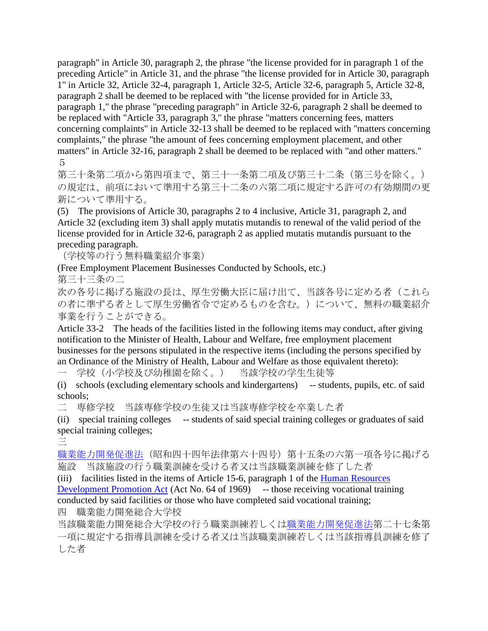paragraph" in Article 30, paragraph 2, the phrase "the license provided for in paragraph 1 of the preceding Article" in Article 31, and the phrase "the license provided for in Article 30, paragraph 1" in Article 32, Article 32-4, paragraph 1, Article 32-5, Article 32-6, paragraph 5, Article 32-8, paragraph 2 shall be deemed to be replaced with "the license provided for in Article 33, paragraph 1," the phrase "preceding paragraph" in Article 32-6, paragraph 2 shall be deemed to be replaced with "Article 33, paragraph 3," the phrase "matters concerning fees, matters concerning complaints" in Article 32-13 shall be deemed to be replaced with "matters concerning complaints," the phrase "the amount of fees concerning employment placement, and other matters" in Article 32-16, paragraph 2 shall be deemed to be replaced with "and other matters." 5

第三十条第二項から第四項まで、第三十一条第二項及び第三十二条(第三号を除く。) の規定は、前項において準用する第三十二条の六第二項に規定する許可の有効期間の更 新について準用する。

(5) The provisions of Article 30, paragraphs 2 to 4 inclusive, Article 31, paragraph 2, and Article 32 (excluding item 3) shall apply mutatis mutandis to renewal of the valid period of the license provided for in Article 32-6, paragraph 2 as applied mutatis mutandis pursuant to the preceding paragraph.

(学校等の行う無料職業紹介事業)

(Free Employment Placement Businesses Conducted by Schools, etc.)

第三十三条の二

次の各号に掲げる施設の長は、厚生労働大臣に届け出て、当該各号に定める者(これら の者に準ずる者として厚生労働省令で定めるものを含む。)について、無料の職業紹介 事業を行うことができる。

Article 33-2 The heads of the facilities listed in the following items may conduct, after giving notification to the Minister of Health, Labour and Welfare, free employment placement businesses for the persons stipulated in the respective items (including the persons specified by an Ordinance of the Ministry of Health, Labour and Welfare as those equivalent thereto):

一 学校(小学校及び幼稚園を除く。) 当該学校の学生生徒等

(i) schools (excluding elementary schools and kindergartens) -- students, pupils, etc. of said schools;

二 専修学校 当該専修学校の生徒又は当該専修学校を卒業した者

(ii) special training colleges -- students of said special training colleges or graduates of said special training colleges;

三

[職業能力開発促進法\(](http://www.japaneselawtranslation.go.jp/law/detail_main?id=917&vm=4&re=)昭和四十四年法律第六十四号)第十五条の六第一項各号に掲げる 施設 当該施設の行う職業訓練を受ける者又は当該職業訓練を修了した者

(iii) facilities listed in the items of Article 15-6, paragraph 1 of the [Human Resources](http://www.japaneselawtranslation.go.jp/law/detail_main?id=917&vm=4&re=) 

[Development Promotion Act](http://www.japaneselawtranslation.go.jp/law/detail_main?id=917&vm=4&re=) (Act No. 64 of 1969) -- those receiving vocational training conducted by said facilities or those who have completed said vocational training;

四 職業能力開発総合大学校

当該職業能力開発総合大学校の行う職業訓練若しく[は職業能力開発促進法第](http://www.japaneselawtranslation.go.jp/law/detail_main?id=917&vm=4&re=)二十七条第 一項に規定する指導員訓練を受ける者又は当該職業訓練若しくは当該指導員訓練を修了 した者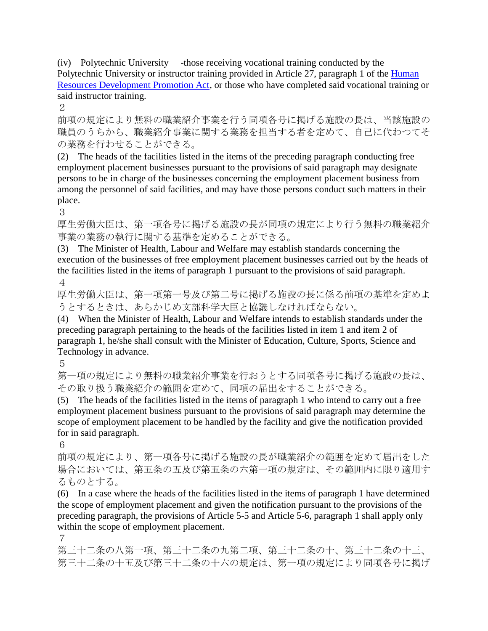(iv) Polytechnic University -those receiving vocational training conducted by the Polytechnic University or instructor training provided in Article 27, paragraph 1 of the Human [Resources Development Promotion Act,](http://www.japaneselawtranslation.go.jp/law/detail_main?id=917&vm=4&re=) or those who have completed said vocational training or said instructor training.

2

前項の規定により無料の職業紹介事業を行う同項各号に掲げる施設の長は、当該施設の 職員のうちから、職業紹介事業に関する業務を担当する者を定めて、自己に代わつてそ の業務を行わせることができる。

(2) The heads of the facilities listed in the items of the preceding paragraph conducting free employment placement businesses pursuant to the provisions of said paragraph may designate persons to be in charge of the businesses concerning the employment placement business from among the personnel of said facilities, and may have those persons conduct such matters in their place.

3

厚生労働大臣は、第一項各号に掲げる施設の長が同項の規定により行う無料の職業紹介 事業の業務の執行に関する基準を定めることができる。

(3) The Minister of Health, Labour and Welfare may establish standards concerning the execution of the businesses of free employment placement businesses carried out by the heads of the facilities listed in the items of paragraph 1 pursuant to the provisions of said paragraph. 4

厚生労働大臣は、第一項第一号及び第二号に掲げる施設の長に係る前項の基準を定めよ うとするときは、あらかじめ文部科学大臣と協議しなければならない。

(4) When the Minister of Health, Labour and Welfare intends to establish standards under the preceding paragraph pertaining to the heads of the facilities listed in item 1 and item 2 of paragraph 1, he/she shall consult with the Minister of Education, Culture, Sports, Science and Technology in advance.

5

第一項の規定により無料の職業紹介事業を行おうとする同項各号に掲げる施設の長は、 その取り扱う職業紹介の範囲を定めて、同項の届出をすることができる。

(5) The heads of the facilities listed in the items of paragraph 1 who intend to carry out a free employment placement business pursuant to the provisions of said paragraph may determine the scope of employment placement to be handled by the facility and give the notification provided for in said paragraph.

6

前項の規定により、第一項各号に掲げる施設の長が職業紹介の範囲を定めて届出をした 場合においては、第五条の五及び第五条の六第一項の規定は、その範囲内に限り適用す るものとする。

(6) In a case where the heads of the facilities listed in the items of paragraph 1 have determined the scope of employment placement and given the notification pursuant to the provisions of the preceding paragraph, the provisions of Article 5-5 and Article 5-6, paragraph 1 shall apply only within the scope of employment placement.

7

第三十二条の八第一項、第三十二条の九第二項、第三十二条の十、第三十二条の十三、 第三十二条の十五及び第三十二条の十六の規定は、第一項の規定により同項各号に掲げ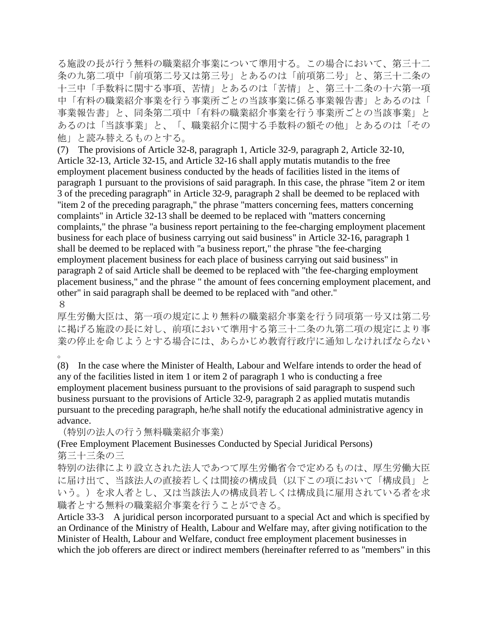る施設の長が行う無料の職業紹介事業について準用する。この場合において、第三十二 条の九第二項中「前項第二号又は第三号」とあるのは「前項第二号」と、第三十二条の 十三中「手数料に関する事項、苦情」とあるのは「苦情」と、第三十二条の十六第一項 中「有料の職業紹介事業を行う事業所ごとの当該事業に係る事業報告書」とあるのは「 事業報告書」と、同条第二項中「有料の職業紹介事業を行う事業所ごとの当該事業」と あるのは「当該事業」と、「、職業紹介に関する手数料の額その他」とあるのは「その 他」と読み替えるものとする。

(7) The provisions of Article 32-8, paragraph 1, Article 32-9, paragraph 2, Article 32-10, Article 32-13, Article 32-15, and Article 32-16 shall apply mutatis mutandis to the free employment placement business conducted by the heads of facilities listed in the items of paragraph 1 pursuant to the provisions of said paragraph. In this case, the phrase "item 2 or item 3 of the preceding paragraph" in Article 32-9, paragraph 2 shall be deemed to be replaced with "item 2 of the preceding paragraph," the phrase "matters concerning fees, matters concerning complaints" in Article 32-13 shall be deemed to be replaced with "matters concerning complaints," the phrase "a business report pertaining to the fee-charging employment placement business for each place of business carrying out said business" in Article 32-16, paragraph 1 shall be deemed to be replaced with "a business report," the phrase "the fee-charging employment placement business for each place of business carrying out said business" in paragraph 2 of said Article shall be deemed to be replaced with "the fee-charging employment placement business," and the phrase " the amount of fees concerning employment placement, and other" in said paragraph shall be deemed to be replaced with "and other." 8

厚生労働大臣は、第一項の規定により無料の職業紹介事業を行う同項第一号又は第二号 に掲げる施設の長に対し、前項において準用する第三十二条の九第二項の規定により事 業の停止を命じようとする場合には、あらかじめ教育行政庁に通知しなければならない

。

(8) In the case where the Minister of Health, Labour and Welfare intends to order the head of any of the facilities listed in item 1 or item 2 of paragraph 1 who is conducting a free employment placement business pursuant to the provisions of said paragraph to suspend such business pursuant to the provisions of Article 32-9, paragraph 2 as applied mutatis mutandis pursuant to the preceding paragraph, he/he shall notify the educational administrative agency in advance.

(特別の法人の行う無料職業紹介事業)

(Free Employment Placement Businesses Conducted by Special Juridical Persons) 第三十三条の三

特別の法律により設立された法人であつて厚生労働省令で定めるものは、厚生労働大臣 に届け出て、当該法人の直接若しくは間接の構成員(以下この項において「構成員」と いう。)を求人者とし、又は当該法人の構成員若しくは構成員に雇用されている者を求 職者とする無料の職業紹介事業を行うことができる。

Article 33-3 A juridical person incorporated pursuant to a special Act and which is specified by an Ordinance of the Ministry of Health, Labour and Welfare may, after giving notification to the Minister of Health, Labour and Welfare, conduct free employment placement businesses in which the job offerers are direct or indirect members (hereinafter referred to as "members" in this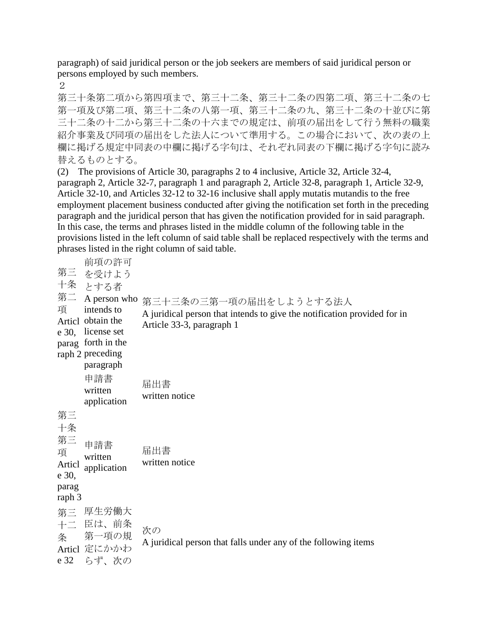paragraph) of said juridical person or the job seekers are members of said juridical person or persons employed by such members.

2

第三十条第二項から第四項まで、第三十二条、第三十二条の四第二項、第三十二条の七 第一項及び第二項、第三十二条の八第一項、第三十二条の九、第三十二条の十並びに第 三十二条の十二から第三十二条の十六までの規定は、前項の届出をして行う無料の職業 紹介事業及び同項の届出をした法人について準用する。この場合において、次の表の上 欄に掲げる規定中同表の中欄に掲げる字句は、それぞれ同表の下欄に掲げる字句に読み 替えるものとする。

(2) The provisions of Article 30, paragraphs 2 to 4 inclusive, Article 32, Article 32-4, paragraph 2, Article 32-7, paragraph 1 and paragraph 2, Article 32-8, paragraph 1, Article 32-9, Article 32-10, and Articles 32-12 to 32-16 inclusive shall apply mutatis mutandis to the free employment placement business conducted after giving the notification set forth in the preceding paragraph and the juridical person that has given the notification provided for in said paragraph. In this case, the terms and phrases listed in the middle column of the following table in the provisions listed in the left column of said table shall be replaced respectively with the terms and phrases listed in the right column of said table.

第三 を受けよう 十条 とする者 第二 A person who 第三十三条の三第一項の届出をしようとする法人 項 Articl obtain the e 30, license set parag forth in the raph 2 preceding 前項の許可 intends to paragraph A juridical person that intends to give the notification provided for in Article 33-3, paragraph 1 申請書 written application 届出書 written notice 第三 十条 第三 項 Articl application e 30, parag raph 3 申請書 written 届出書 written notice 第三 厚生労働大 十二 臣は、前条 条 Articl 定にかかわ e 32 らず、次の 第一項の規 次の A juridical person that falls under any of the following items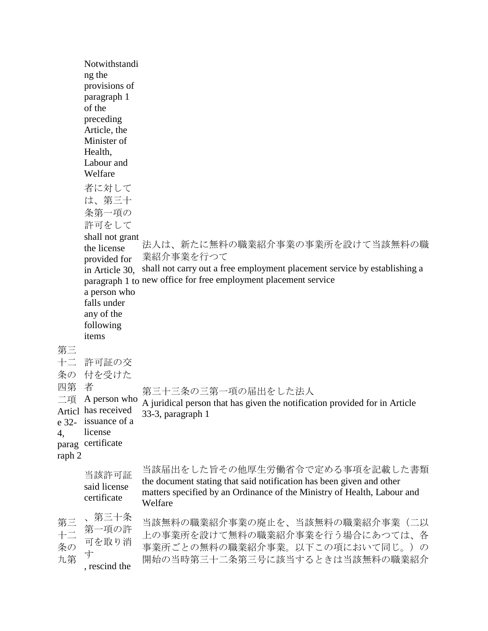|                                                     | Notwithstandi<br>ng the<br>provisions of<br>paragraph 1<br>of the<br>preceding<br>Article, the<br>Minister of<br>Health,<br>Labour and<br>Welfare<br>者に対して<br>は、第三十<br>条第一項の<br>許可をして<br>shall not grant<br>the license<br>provided for<br>in Article 30.<br>a person who<br>falls under | 法人は、新たに無料の職業紹介事業の事業所を設けて当該無料の職<br>業紹介事業を行つて<br>shall not carry out a free employment placement service by establishing a<br>paragraph 1 to new office for free employment placement service  |
|-----------------------------------------------------|------------------------------------------------------------------------------------------------------------------------------------------------------------------------------------------------------------------------------------------------------------------------------------------|----------------------------------------------------------------------------------------------------------------------------------------------------------------------------------------------|
| 第三<br>十二<br>条の<br>四第<br>二項<br>e 32-<br>4,<br>raph 2 | any of the<br>following<br>items<br>許可証の交<br>付を受けた<br>者<br>A person who<br>Articl has received<br>issuance of a<br>license<br>parag certificate                                                                                                                                          | 第三十三条の三第一項の届出をした法人<br>A juridical person that has given the notification provided for in Article<br>33-3, paragraph 1                                                                        |
|                                                     | 当該許可証<br>said license<br>certificate                                                                                                                                                                                                                                                     | 当該届出をした旨その他厚生労働省令で定める事項を記載した書類<br>the document stating that said notification has been given and other<br>matters specified by an Ordinance of the Ministry of Health, Labour and<br>Welfare |
| 第三<br>十二<br>条の<br>九第                                | 第三十条<br>第一項の許<br>可を取り消<br>す<br>, rescind the                                                                                                                                                                                                                                             | 当該無料の職業紹介事業の廃止を、当該無料の職業紹介事業(二以<br>上の事業所を設けて無料の職業紹介事業を行う場合にあつては、各<br>事業所ごとの無料の職業紹介事業。以下この項において同じ。)の<br>開始の当時第三十二条第三号に該当するときは当該無料の職業紹介                                                         |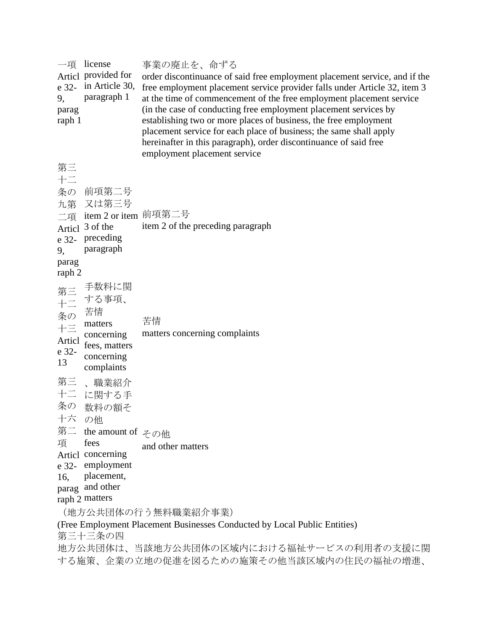| license<br>一項<br>Articl provided for<br>$e$ 32- in Article 30,<br>paragraph 1<br>9,<br>parag<br>raph 1                                                                                                      | 事業の廃止を、命ずる<br>order discontinuance of said free employment placement service, and if the<br>free employment placement service provider falls under Article 32, item 3<br>at the time of commencement of the free employment placement service<br>(in the case of conducting free employment placement services by<br>establishing two or more places of business, the free employment<br>placement service for each place of business; the same shall apply<br>hereinafter in this paragraph), order discontinuance of said free<br>employment placement service |  |
|-------------------------------------------------------------------------------------------------------------------------------------------------------------------------------------------------------------|------------------------------------------------------------------------------------------------------------------------------------------------------------------------------------------------------------------------------------------------------------------------------------------------------------------------------------------------------------------------------------------------------------------------------------------------------------------------------------------------------------------------------------------------------------------|--|
| 第三<br>$+ \equiv$<br>条の 前項第二号<br>九第 又は第三号<br>二項 item 2 or item 前項第二号<br>Articl 3 of the<br>preceding<br>e 32-<br>paragraph<br>9,<br>parag<br>raph 2                                                          | item 2 of the preceding paragraph                                                                                                                                                                                                                                                                                                                                                                                                                                                                                                                                |  |
| 手数料に関<br>第三 手数料には、手数料には、<br>十二 古る事項、<br>条の 苦情<br>ト三 concerning<br>concerning<br>Articl<br>fees, matters<br>e 32-<br>concerning<br>13<br>complaints                                                          | 苦情<br>matters concerning complaints                                                                                                                                                                                                                                                                                                                                                                                                                                                                                                                              |  |
| 第三<br>、職業紹介<br>十二 に関する手<br>条の<br>数料の額そ<br>十六<br>の他<br>第二<br>the amount of $z^{\circ}$<br>項<br>fees<br>Articl concerning<br>employment<br>e 32-<br>placement,<br>16,<br>and other<br>parag<br>raph 2 matters | and other matters                                                                                                                                                                                                                                                                                                                                                                                                                                                                                                                                                |  |
| (地方公共団体の行う無料職業紹介事業)<br>(Free Employment Placement Businesses Conducted by Local Public Entities)<br>第三十三条の四<br>地方公共団体は、当該地方公共団体の区域内における福祉サービスの利用者の支援に関<br>する施策、企業の立地の促進を図るための施策その他当該区域内の住民の福祉の増進、           |                                                                                                                                                                                                                                                                                                                                                                                                                                                                                                                                                                  |  |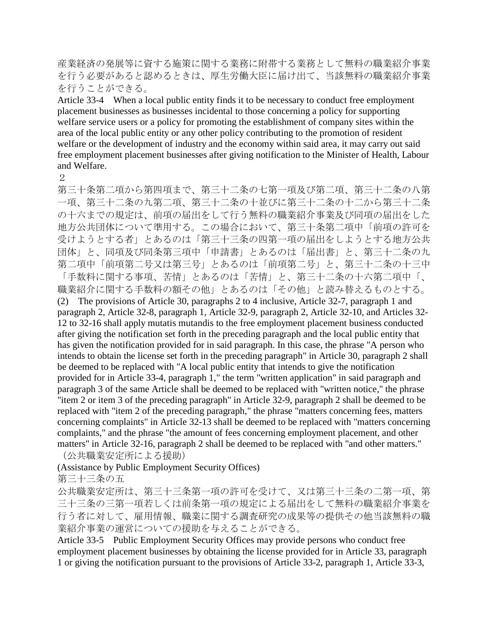産業経済の発展等に資する施策に関する業務に附帯する業務として無料の職業紹介事業 を行う必要があると認めるときは、厚生労働大臣に届け出て、当該無料の職業紹介事業 を行うことができる。

Article 33-4 When a local public entity finds it to be necessary to conduct free employment placement businesses as businesses incidental to those concerning a policy for supporting welfare service users or a policy for promoting the establishment of company sites within the area of the local public entity or any other policy contributing to the promotion of resident welfare or the development of industry and the economy within said area, it may carry out said free employment placement businesses after giving notification to the Minister of Health, Labour and Welfare.

2

第三十条第二項から第四項まで、第三十二条の七第一項及び第二項、第三十二条の八第 一項、第三十二条の九第二項、第三十二条の十並びに第三十二条の十二から第三十二条 の十六までの規定は、前項の届出をして行う無料の職業紹介事業及び同項の届出をした 地方公共団体について準用する。この場合において、第三十条第二項中「前項の許可を 受けようとする者」とあるのは「第三十三条の四第一項の届出をしようとする地方公共 団体」と、同項及び同条第三項中「申請書」とあるのは「届出書」と、第三十二条の九 第二項中「前項第二号又は第三号」とあるのは「前項第二号」と、第三十二条の十三中 「手数料に関する事項、苦情」とあるのは「苦情」と、第三十二条の十六第二項中「、 職業紹介に関する手数料の額その他」とあるのは「その他」と読み替えるものとする。 (2) The provisions of Article 30, paragraphs 2 to 4 inclusive, Article 32-7, paragraph 1 and paragraph 2, Article 32-8, paragraph 1, Article 32-9, paragraph 2, Article 32-10, and Articles 32- 12 to 32-16 shall apply mutatis mutandis to the free employment placement business conducted after giving the notification set forth in the preceding paragraph and the local public entity that has given the notification provided for in said paragraph. In this case, the phrase "A person who intends to obtain the license set forth in the preceding paragraph" in Article 30, paragraph 2 shall be deemed to be replaced with "A local public entity that intends to give the notification provided for in Article 33-4, paragraph 1," the term "written application" in said paragraph and paragraph 3 of the same Article shall be deemed to be replaced with "written notice," the phrase "item 2 or item 3 of the preceding paragraph" in Article 32-9, paragraph 2 shall be deemed to be replaced with "item 2 of the preceding paragraph," the phrase "matters concerning fees, matters concerning complaints" in Article 32-13 shall be deemed to be replaced with "matters concerning complaints," and the phrase "the amount of fees concerning employment placement, and other matters" in Article 32-16, paragraph 2 shall be deemed to be replaced with "and other matters." (公共職業安定所による援助)

(Assistance by Public Employment Security Offices)

第三十三条の五

公共職業安定所は、第三十三条第一項の許可を受けて、又は第三十三条の二第一項、第 三十三条の三第一項若しくは前条第一項の規定による届出をして無料の職業紹介事業を 行う者に対して、雇用情報、職業に関する調査研究の成果等の提供その他当該無料の職 業紹介事業の運営についての援助を与えることができる。

Article 33-5 Public Employment Security Offices may provide persons who conduct free employment placement businesses by obtaining the license provided for in Article 33, paragraph 1 or giving the notification pursuant to the provisions of Article 33-2, paragraph 1, Article 33-3,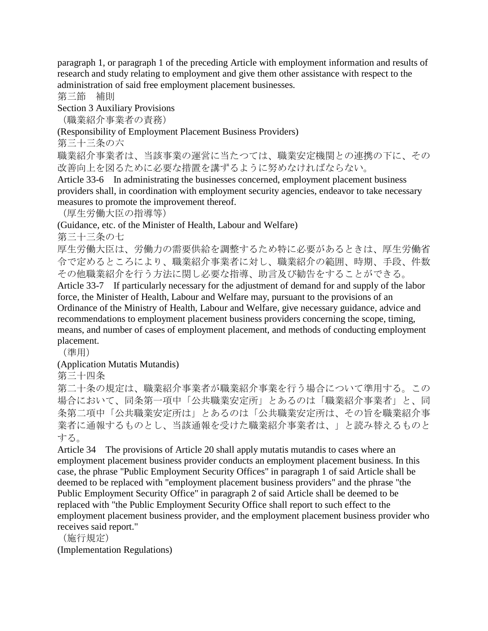paragraph 1, or paragraph 1 of the preceding Article with employment information and results of research and study relating to employment and give them other assistance with respect to the administration of said free employment placement businesses.

第三節 補則

Section 3 Auxiliary Provisions

(職業紹介事業者の責務)

(Responsibility of Employment Placement Business Providers)

第三十三条の六

職業紹介事業者は、当該事業の運営に当たつては、職業安定機関との連携の下に、その 改善向上を図るために必要な措置を講ずるように努めなければならない。

Article 33-6 In administrating the businesses concerned, employment placement business providers shall, in coordination with employment security agencies, endeavor to take necessary measures to promote the improvement thereof.

(厚生労働大臣の指導等)

(Guidance, etc. of the Minister of Health, Labour and Welfare)

第三十三条の七

厚生労働大臣は、労働力の需要供給を調整するため特に必要があるときは、厚生労働省 令で定めるところにより、職業紹介事業者に対し、職業紹介の範囲、時期、手段、件数 その他職業紹介を行う方法に関し必要な指導、助言及び勧告をすることができる。

Article 33-7 If particularly necessary for the adjustment of demand for and supply of the labor force, the Minister of Health, Labour and Welfare may, pursuant to the provisions of an Ordinance of the Ministry of Health, Labour and Welfare, give necessary guidance, advice and recommendations to employment placement business providers concerning the scope, timing, means, and number of cases of employment placement, and methods of conducting employment placement.

(準用)

(Application Mutatis Mutandis)

第三十四条

第二十条の規定は、職業紹介事業者が職業紹介事業を行う場合について準用する。この 場合において、同条第一項中「公共職業安定所」とあるのは「職業紹介事業者」と、同 条第二項中「公共職業安定所は」とあるのは「公共職業安定所は、その旨を職業紹介事 業者に通報するものとし、当該通報を受けた職業紹介事業者は、」と読み替えるものと する。

Article 34 The provisions of Article 20 shall apply mutatis mutandis to cases where an employment placement business provider conducts an employment placement business. In this case, the phrase "Public Employment Security Offices" in paragraph 1 of said Article shall be deemed to be replaced with "employment placement business providers" and the phrase "the Public Employment Security Office" in paragraph 2 of said Article shall be deemed to be replaced with "the Public Employment Security Office shall report to such effect to the employment placement business provider, and the employment placement business provider who receives said report."

(施行規定)

(Implementation Regulations)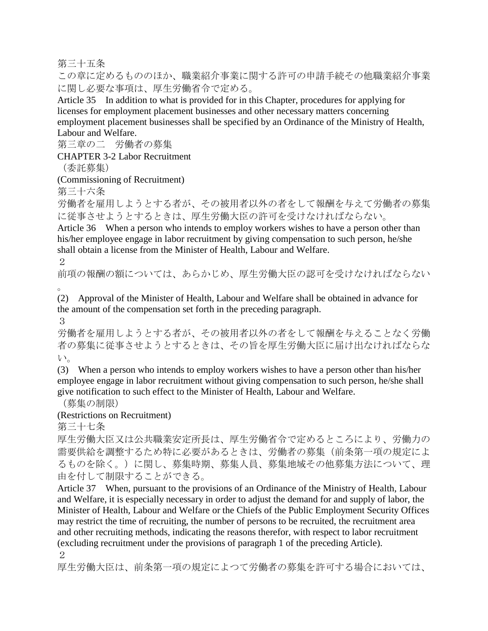第三十五条

この章に定めるもののほか、職業紹介事業に関する許可の申請手続その他職業紹介事業 に関し必要な事項は、厚生労働省令で定める。

Article 35 In addition to what is provided for in this Chapter, procedures for applying for licenses for employment placement businesses and other necessary matters concerning employment placement businesses shall be specified by an Ordinance of the Ministry of Health, Labour and Welfare.

第三章の二 労働者の募集

CHAPTER 3-2 Labor Recruitment

(委託募集)

(Commissioning of Recruitment)

第三十六条

労働者を雇用しようとする者が、その被用者以外の者をして報酬を与えて労働者の募集 に従事させようとするときは、厚生労働大臣の許可を受けなければならない。

Article 36 When a person who intends to employ workers wishes to have a person other than his/her employee engage in labor recruitment by giving compensation to such person, he/she shall obtain a license from the Minister of Health, Labour and Welfare.

2

前項の報酬の額については、あらかじめ、厚生労働大臣の認可を受けなければならない 。

(2) Approval of the Minister of Health, Labour and Welfare shall be obtained in advance for the amount of the compensation set forth in the preceding paragraph.

3

労働者を雇用しようとする者が、その被用者以外の者をして報酬を与えることなく労働 者の募集に従事させようとするときは、その旨を厚生労働大臣に届け出なければならな い。

(3) When a person who intends to employ workers wishes to have a person other than his/her employee engage in labor recruitment without giving compensation to such person, he/she shall give notification to such effect to the Minister of Health, Labour and Welfare.

(募集の制限)

(Restrictions on Recruitment)

第三十七条

厚生労働大臣又は公共職業安定所長は、厚生労働省令で定めるところにより、労働力の 需要供給を調整するため特に必要があるときは、労働者の募集(前条第一項の規定によ るものを除く。)に関し、募集時期、募集人員、募集地域その他募集方法について、理 由を付して制限することができる。

Article 37 When, pursuant to the provisions of an Ordinance of the Ministry of Health, Labour and Welfare, it is especially necessary in order to adjust the demand for and supply of labor, the Minister of Health, Labour and Welfare or the Chiefs of the Public Employment Security Offices may restrict the time of recruiting, the number of persons to be recruited, the recruitment area and other recruiting methods, indicating the reasons therefor, with respect to labor recruitment (excluding recruitment under the provisions of paragraph 1 of the preceding Article). 2

厚生労働大臣は、前条第一項の規定によつて労働者の募集を許可する場合においては、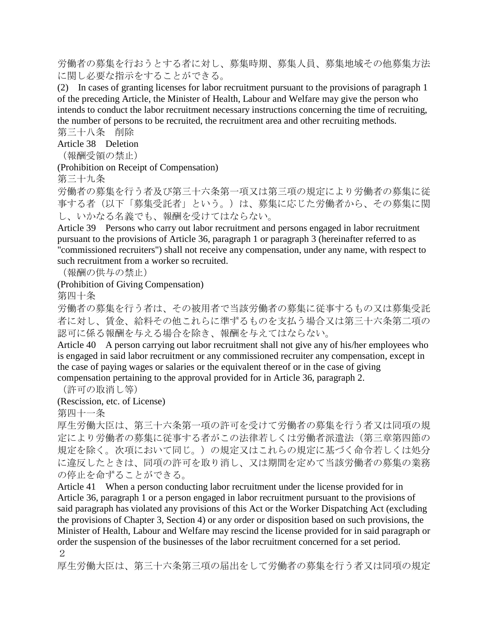労働者の募集を行おうとする者に対し、募集時期、募集人員、募集地域その他募集方法 に関し必要な指示をすることができる。

(2) In cases of granting licenses for labor recruitment pursuant to the provisions of paragraph 1 of the preceding Article, the Minister of Health, Labour and Welfare may give the person who intends to conduct the labor recruitment necessary instructions concerning the time of recruiting, the number of persons to be recruited, the recruitment area and other recruiting methods.

第三十八条 削除

Article 38 Deletion

(報酬受領の禁止)

(Prohibition on Receipt of Compensation)

第三十九条

労働者の募集を行う者及び第三十六条第一項又は第三項の規定により労働者の募集に従 事する者(以下「募集受託者」という。)は、募集に応じた労働者から、その募集に関 し、いかなる名義でも、報酬を受けてはならない。

Article 39 Persons who carry out labor recruitment and persons engaged in labor recruitment pursuant to the provisions of Article 36, paragraph 1 or paragraph 3 (hereinafter referred to as "commissioned recruiters") shall not receive any compensation, under any name, with respect to such recruitment from a worker so recruited.

(報酬の供与の禁止)

#### (Prohibition of Giving Compensation)

第四十条

労働者の募集を行う者は、その被用者で当該労働者の募集に従事するもの又は募集受託 者に対し、賃金、給料その他これらに準ずるものを支払う場合又は第三十六条第二項の 認可に係る報酬を与える場合を除き、報酬を与えてはならない。

Article 40 A person carrying out labor recruitment shall not give any of his/her employees who is engaged in said labor recruitment or any commissioned recruiter any compensation, except in the case of paying wages or salaries or the equivalent thereof or in the case of giving compensation pertaining to the approval provided for in Article 36, paragraph 2.

(許可の取消し等)

(Rescission, etc. of License)

第四十一条

厚生労働大臣は、第三十六条第一項の許可を受けて労働者の募集を行う者又は同項の規 定により労働者の募集に従事する者がこの法律若しくは労働者派遣法(第三章第四節の 規定を除く。次項において同じ。)の規定又はこれらの規定に基づく命令若しくは処分 に違反したときは、同項の許可を取り消し、又は期間を定めて当該労働者の募集の業務 の停止を命ずることができる。

Article 41 When a person conducting labor recruitment under the license provided for in Article 36, paragraph 1 or a person engaged in labor recruitment pursuant to the provisions of said paragraph has violated any provisions of this Act or the Worker Dispatching Act (excluding the provisions of Chapter 3, Section 4) or any order or disposition based on such provisions, the Minister of Health, Labour and Welfare may rescind the license provided for in said paragraph or order the suspension of the businesses of the labor recruitment concerned for a set period. 2

厚生労働大臣は、第三十六条第三項の届出をして労働者の募集を行う者又は同項の規定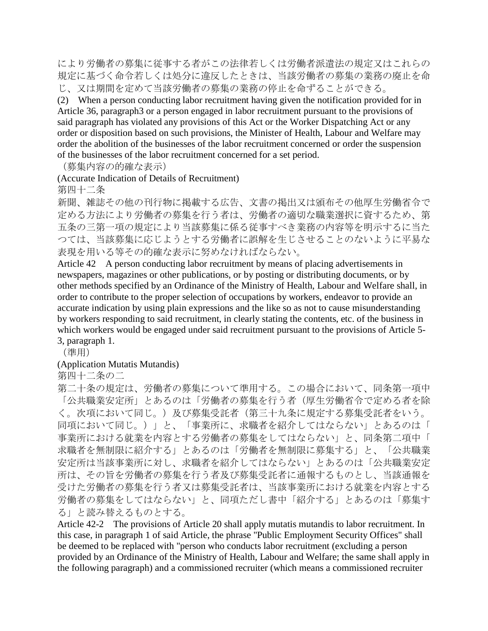により労働者の募集に従事する者がこの法律若しくは労働者派遣法の規定又はこれらの 規定に基づく命令若しくは処分に違反したときは、当該労働者の募集の業務の廃止を命 じ、又は期間を定めて当該労働者の募集の業務の停止を命ずることができる。

(2) When a person conducting labor recruitment having given the notification provided for in Article 36, paragraph3 or a person engaged in labor recruitment pursuant to the provisions of said paragraph has violated any provisions of this Act or the Worker Dispatching Act or any order or disposition based on such provisions, the Minister of Health, Labour and Welfare may order the abolition of the businesses of the labor recruitment concerned or order the suspension of the businesses of the labor recruitment concerned for a set period.

(募集内容の的確な表示)

(Accurate Indication of Details of Recruitment)

第四十二条

新聞、雑誌その他の刊行物に掲載する広告、文書の掲出又は頒布その他厚生労働省令で 定める方法により労働者の募集を行う者は、労働者の適切な職業選択に資するため、第 五条の三第一項の規定により当該募集に係る従事すべき業務の内容等を明示するに当た つては、当該募集に応じようとする労働者に誤解を生じさせることのないように平易な 表現を用いる等その的確な表示に努めなければならない。

Article 42 A person conducting labor recruitment by means of placing advertisements in newspapers, magazines or other publications, or by posting or distributing documents, or by other methods specified by an Ordinance of the Ministry of Health, Labour and Welfare shall, in order to contribute to the proper selection of occupations by workers, endeavor to provide an accurate indication by using plain expressions and the like so as not to cause misunderstanding by workers responding to said recruitment, in clearly stating the contents, etc. of the business in which workers would be engaged under said recruitment pursuant to the provisions of Article 5-3, paragraph 1.

(準用)

(Application Mutatis Mutandis)

第四十二条の二

第二十条の規定は、労働者の募集について準用する。この場合において、同条第一項中 「公共職業安定所」とあるのは「労働者の募集を行う者(厚生労働省令で定める者を除 く。次項において同じ。)及び募集受託者(第三十九条に規定する募集受託者をいう。 同項において同じ。)」と、「事業所に、求職者を紹介してはならない」とあるのは「 事業所における就業を内容とする労働者の募集をしてはならない」と、同条第二項中「 求職者を無制限に紹介する」とあるのは「労働者を無制限に募集する」と、「公共職業 安定所は当該事業所に対し、求職者を紹介してはならない」とあるのは「公共職業安定 所は、その旨を労働者の募集を行う者及び募集受託者に通報するものとし、当該通報を 受けた労働者の募集を行う者又は募集受託者は、当該事業所における就業を内容とする 労働者の募集をしてはならない」と、同項ただし書中「紹介する」とあるのは「募集す る」と読み替えるものとする。

Article 42-2 The provisions of Article 20 shall apply mutatis mutandis to labor recruitment. In this case, in paragraph 1 of said Article, the phrase "Public Employment Security Offices" shall be deemed to be replaced with "person who conducts labor recruitment (excluding a person provided by an Ordinance of the Ministry of Health, Labour and Welfare; the same shall apply in the following paragraph) and a commissioned recruiter (which means a commissioned recruiter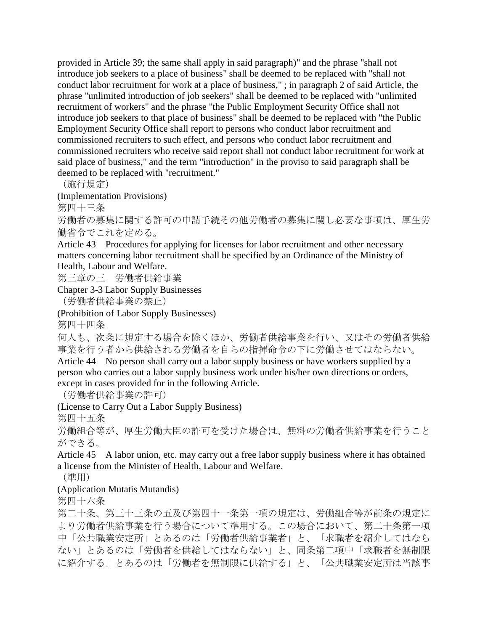provided in Article 39; the same shall apply in said paragraph)" and the phrase "shall not introduce job seekers to a place of business" shall be deemed to be replaced with "shall not conduct labor recruitment for work at a place of business," ; in paragraph 2 of said Article, the phrase "unlimited introduction of job seekers" shall be deemed to be replaced with "unlimited recruitment of workers" and the phrase "the Public Employment Security Office shall not introduce job seekers to that place of business" shall be deemed to be replaced with "the Public Employment Security Office shall report to persons who conduct labor recruitment and commissioned recruiters to such effect, and persons who conduct labor recruitment and commissioned recruiters who receive said report shall not conduct labor recruitment for work at said place of business," and the term "introduction" in the proviso to said paragraph shall be deemed to be replaced with "recruitment."

(施行規定)

(Implementation Provisions)

第四十三条

労働者の募集に関する許可の申請手続その他労働者の募集に関し必要な事項は、厚生労 働省令でこれを定める。

Article 43 Procedures for applying for licenses for labor recruitment and other necessary matters concerning labor recruitment shall be specified by an Ordinance of the Ministry of Health, Labour and Welfare.

第三章の三 労働者供給事業

Chapter 3-3 Labor Supply Businesses

(労働者供給事業の禁止)

(Prohibition of Labor Supply Businesses)

第四十四条

何人も、次条に規定する場合を除くほか、労働者供給事業を行い、又はその労働者供給 事業を行う者から供給される労働者を自らの指揮命令の下に労働させてはならない。 Article 44 No person shall carry out a labor supply business or have workers supplied by a person who carries out a labor supply business work under his/her own directions or orders, except in cases provided for in the following Article.

(労働者供給事業の許可)

(License to Carry Out a Labor Supply Business)

第四十五条

労働組合等が、厚生労働大臣の許可を受けた場合は、無料の労働者供給事業を行うこと ができる。

Article 45 A labor union, etc. may carry out a free labor supply business where it has obtained a license from the Minister of Health, Labour and Welfare.

(準用)

(Application Mutatis Mutandis)

第四十六条

第二十条、第三十三条の五及び第四十一条第一項の規定は、労働組合等が前条の規定に より労働者供給事業を行う場合について準用する。この場合において、第二十条第一項 中「公共職業安定所」とあるのは「労働者供給事業者」と、「求職者を紹介してはなら ない」とあるのは「労働者を供給してはならない」と、同条第二項中「求職者を無制限 に紹介する」とあるのは「労働者を無制限に供給する」と、「公共職業安定所は当該事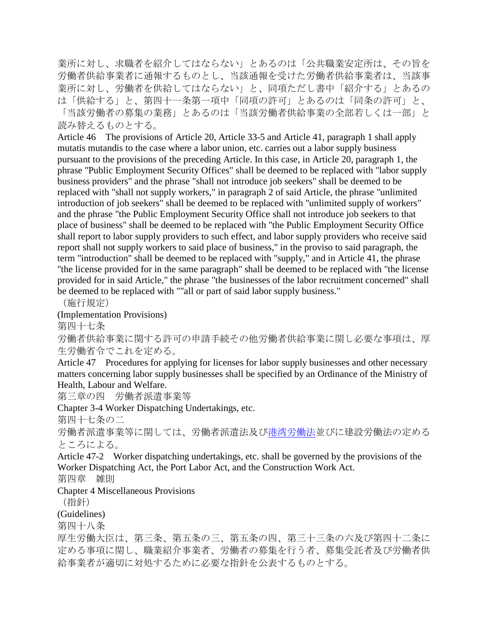業所に対し、求職者を紹介してはならない」とあるのは「公共職業安定所は、その旨を 労働者供給事業者に通報するものとし、当該通報を受けた労働者供給事業者は、当該事 業所に対し、労働者を供給してはならない」と、同項ただし書中「紹介する」とあるの は「供給する」と、第四十一条第一項中「同項の許可」とあるのは「同条の許可」と、 「当該労働者の募集の業務」とあるのは「当該労働者供給事業の全部若しくは一部」と

読み替えるものとする。

Article 46 The provisions of Article 20, Article 33-5 and Article 41, paragraph 1 shall apply mutatis mutandis to the case where a labor union, etc. carries out a labor supply business pursuant to the provisions of the preceding Article. In this case, in Article 20, paragraph 1, the phrase "Public Employment Security Offices" shall be deemed to be replaced with "labor supply business providers" and the phrase "shall not introduce job seekers" shall be deemed to be replaced with "shall not supply workers," in paragraph 2 of said Article, the phrase "unlimited introduction of job seekers" shall be deemed to be replaced with "unlimited supply of workers" and the phrase "the Public Employment Security Office shall not introduce job seekers to that place of business" shall be deemed to be replaced with "the Public Employment Security Office shall report to labor supply providers to such effect, and labor supply providers who receive said report shall not supply workers to said place of business," in the proviso to said paragraph, the term "introduction" shall be deemed to be replaced with "supply," and in Article 41, the phrase "the license provided for in the same paragraph" shall be deemed to be replaced with "the license provided for in said Article," the phrase "the businesses of the labor recruitment concerned" shall be deemed to be replaced with ""all or part of said labor supply business."

(施行規定)

(Implementation Provisions)

第四十七条

労働者供給事業に関する許可の申請手続その他労働者供給事業に関し必要な事項は、厚 生労働省令でこれを定める。

Article 47 Procedures for applying for licenses for labor supply businesses and other necessary matters concerning labor supply businesses shall be specified by an Ordinance of the Ministry of Health, Labour and Welfare.

第三章の四 労働者派遣事業等

Chapter 3-4 Worker Dispatching Undertakings, etc.

第四十七条の二

労働者派遣事業等に関しては、労働者派遣法及び港湾労働法びに建設労働法の定める ところによる。

Article 47-2 Worker dispatching undertakings, etc. shall be governed by the provisions of the Worker Dispatching Act, the Port Labor Act, and the Construction Work Act.

第四章 雑則

Chapter 4 Miscellaneous Provisions

(指針)

(Guidelines)

第四十八条

厚生労働大臣は、第三条、第五条の三、第五条の四、第三十三条の六及び第四十二条に 定める事項に関し、職業紹介事業者、労働者の募集を行う者、募集受託者及び労働者供 給事業者が適切に対処するために必要な指針を公表するものとする。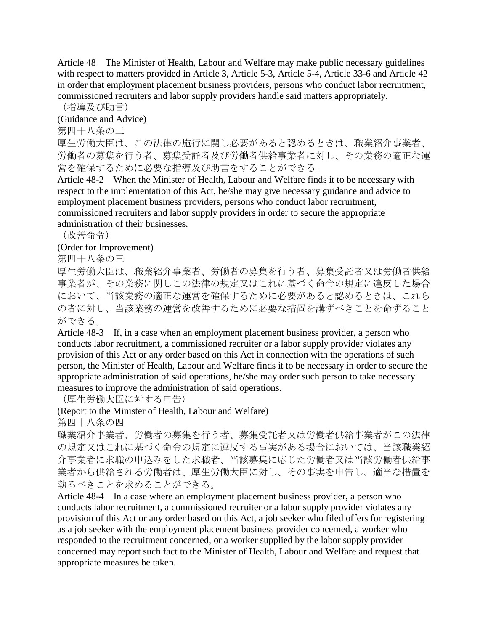Article 48 The Minister of Health, Labour and Welfare may make public necessary guidelines with respect to matters provided in Article 3, Article 5-3, Article 5-4, Article 33-6 and Article 42 in order that employment placement business providers, persons who conduct labor recruitment, commissioned recruiters and labor supply providers handle said matters appropriately.

(指導及び助言)

(Guidance and Advice)

第四十八条の二

厚生労働大臣は、この法律の施行に関し必要があると認めるときは、職業紹介事業者、 労働者の募集を行う者、募集受託者及び労働者供給事業者に対し、その業務の適正な運 営を確保するために必要な指導及び助言をすることができる。

Article 48-2 When the Minister of Health, Labour and Welfare finds it to be necessary with respect to the implementation of this Act, he/she may give necessary guidance and advice to employment placement business providers, persons who conduct labor recruitment, commissioned recruiters and labor supply providers in order to secure the appropriate administration of their businesses.

(改善命令)

(Order for Improvement)

第四十八条の三

厚生労働大臣は、職業紹介事業者、労働者の募集を行う者、募集受託者又は労働者供給 事業者が、その業務に関しこの法律の規定又はこれに基づく命令の規定に違反した場合 において、当該業務の適正な運営を確保するために必要があると認めるときは、これら の者に対し、当該業務の運営を改善するために必要な措置を講ずべきことを命ずること ができる。

Article 48-3 If, in a case when an employment placement business provider, a person who conducts labor recruitment, a commissioned recruiter or a labor supply provider violates any provision of this Act or any order based on this Act in connection with the operations of such person, the Minister of Health, Labour and Welfare finds it to be necessary in order to secure the appropriate administration of said operations, he/she may order such person to take necessary measures to improve the administration of said operations.

(厚生労働大臣に対する申告)

(Report to the Minister of Health, Labour and Welfare)

第四十八条の四

職業紹介事業者、労働者の募集を行う者、募集受託者又は労働者供給事業者がこの法律 の規定又はこれに基づく命令の規定に違反する事実がある場合においては、当該職業紹 介事業者に求職の申込みをした求職者、当該募集に応じた労働者又は当該労働者供給事 業者から供給される労働者は、厚生労働大臣に対し、その事実を申告し、適当な措置を 執るべきことを求めることができる。

Article 48-4 In a case where an employment placement business provider, a person who conducts labor recruitment, a commissioned recruiter or a labor supply provider violates any provision of this Act or any order based on this Act, a job seeker who filed offers for registering as a job seeker with the employment placement business provider concerned, a worker who responded to the recruitment concerned, or a worker supplied by the labor supply provider concerned may report such fact to the Minister of Health, Labour and Welfare and request that appropriate measures be taken.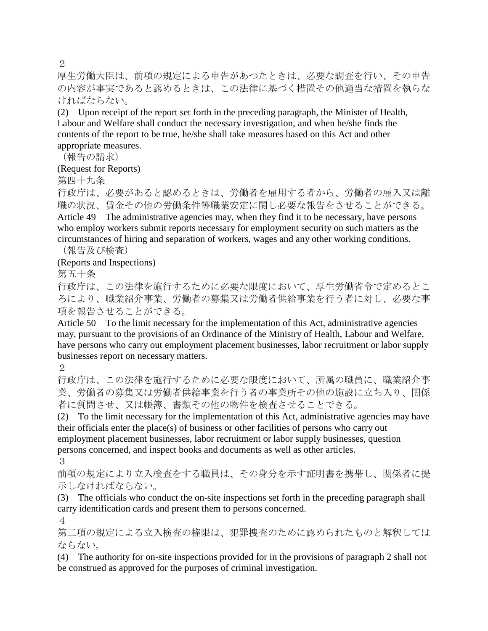$\mathcal{D}_{\mathcal{L}}$ 

厚生労働大臣は、前項の規定による申告があつたときは、必要な調査を行い、その申告 の内容が事実であると認めるときは、この法律に基づく措置その他適当な措置を執らな ければならない。

(2) Upon receipt of the report set forth in the preceding paragraph, the Minister of Health, Labour and Welfare shall conduct the necessary investigation, and when he/she finds the contents of the report to be true, he/she shall take measures based on this Act and other appropriate measures.

(報告の請求)

(Request for Reports)

第四十九条

行政庁は、必要があると認めるときは、労働者を雇用する者から、労働者の雇入又は離 職の状況、賃金その他の労働条件等職業安定に関し必要な報告をさせることができる。 Article 49 The administrative agencies may, when they find it to be necessary, have persons who employ workers submit reports necessary for employment security on such matters as the circumstances of hiring and separation of workers, wages and any other working conditions. (報告及び検査)

(Reports and Inspections)

第五十条

行政庁は、この法律を施行するために必要な限度において、厚生労働省令で定めるとこ ろにより、職業紹介事業、労働者の募集又は労働者供給事業を行う者に対し、必要な事 項を報告させることができる。

Article 50 To the limit necessary for the implementation of this Act, administrative agencies may, pursuant to the provisions of an Ordinance of the Ministry of Health, Labour and Welfare, have persons who carry out employment placement businesses, labor recruitment or labor supply businesses report on necessary matters.

2

行政庁は、この法律を施行するために必要な限度において、所属の職員に、職業紹介事 業、労働者の募集又は労働者供給事業を行う者の事業所その他の施設に立ち入り、関係 者に質問させ、又は帳簿、書類その他の物件を検査させることできる。

(2) To the limit necessary for the implementation of this Act, administrative agencies may have their officials enter the place(s) of business or other facilities of persons who carry out employment placement businesses, labor recruitment or labor supply businesses, question

persons concerned, and inspect books and documents as well as other articles. 3

前項の規定により立入検査をする職員は、その身分を示す証明書を携帯し、関係者に提 示しなければならない。

(3) The officials who conduct the on-site inspections set forth in the preceding paragraph shall carry identification cards and present them to persons concerned.

4

第二項の規定による立入検査の権限は、犯罪捜査のために認められたものと解釈しては ならない。

(4) The authority for on-site inspections provided for in the provisions of paragraph 2 shall not be construed as approved for the purposes of criminal investigation.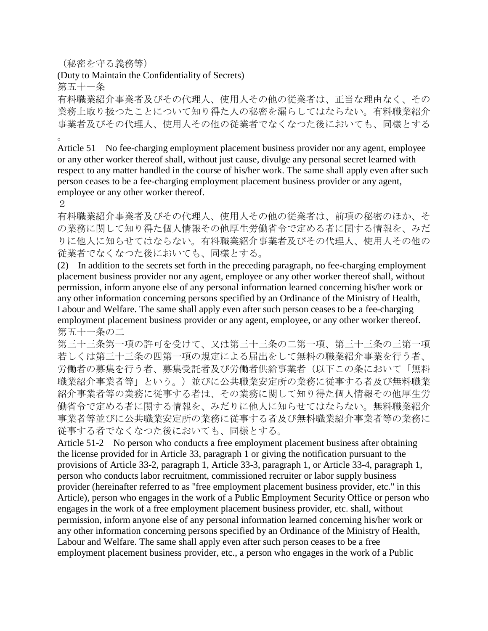(秘密を守る義務等)

(Duty to Maintain the Confidentiality of Secrets)

第五十一条

有料職業紹介事業者及びその代理人、使用人その他の従業者は、正当な理由なく、その 業務上取り扱つたことについて知り得た人の秘密を漏らしてはならない。有料職業紹介 事業者及びその代理人、使用人その他の従業者でなくなつた後においても、同様とする

。

Article 51 No fee-charging employment placement business provider nor any agent, employee or any other worker thereof shall, without just cause, divulge any personal secret learned with respect to any matter handled in the course of his/her work. The same shall apply even after such person ceases to be a fee-charging employment placement business provider or any agent, employee or any other worker thereof.

2

有料職業紹介事業者及びその代理人、使用人その他の従業者は、前項の秘密のほか、そ の業務に関して知り得た個人情報その他厚生労働省令で定める者に関する情報を、みだ りに他人に知らせてはならない。有料職業紹介事業者及びその代理人、使用人その他の 従業者でなくなつた後においても、同様とする。

(2) In addition to the secrets set forth in the preceding paragraph, no fee-charging employment placement business provider nor any agent, employee or any other worker thereof shall, without permission, inform anyone else of any personal information learned concerning his/her work or any other information concerning persons specified by an Ordinance of the Ministry of Health, Labour and Welfare. The same shall apply even after such person ceases to be a fee-charging employment placement business provider or any agent, employee, or any other worker thereof. 第五十一条の二

第三十三条第一項の許可を受けて、又は第三十三条の二第一項、第三十三条の三第一項 若しくは第三十三条の四第一項の規定による届出をして無料の職業紹介事業を行う者、 労働者の募集を行う者、募集受託者及び労働者供給事業者(以下この条において「無料 職業紹介事業者等」という。)並びに公共職業安定所の業務に従事する者及び無料職業 紹介事業者等の業務に従事する者は、その業務に関して知り得た個人情報その他厚生労 働省令で定める者に関する情報を、みだりに他人に知らせてはならない。無料職業紹介 事業者等並びに公共職業安定所の業務に従事する者及び無料職業紹介事業者等の業務に 従事する者でなくなつた後においても、同様とする。

Article 51-2 No person who conducts a free employment placement business after obtaining the license provided for in Article 33, paragraph 1 or giving the notification pursuant to the provisions of Article 33-2, paragraph 1, Article 33-3, paragraph 1, or Article 33-4, paragraph 1, person who conducts labor recruitment, commissioned recruiter or labor supply business provider (hereinafter referred to as "free employment placement business provider, etc." in this Article), person who engages in the work of a Public Employment Security Office or person who engages in the work of a free employment placement business provider, etc. shall, without permission, inform anyone else of any personal information learned concerning his/her work or any other information concerning persons specified by an Ordinance of the Ministry of Health, Labour and Welfare. The same shall apply even after such person ceases to be a free employment placement business provider, etc., a person who engages in the work of a Public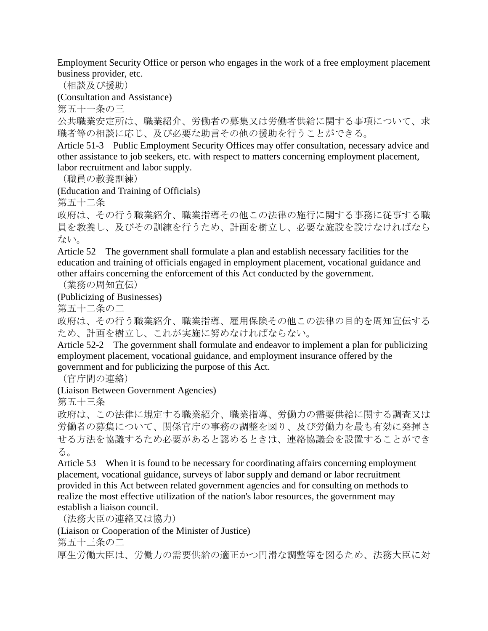Employment Security Office or person who engages in the work of a free employment placement business provider, etc.

(相談及び援助)

(Consultation and Assistance)

第五十一条の三

公共職業安定所は、職業紹介、労働者の募集又は労働者供給に関する事項について、求 職者等の相談に応じ、及び必要な助言その他の援助を行うことができる。

Article 51-3 Public Employment Security Offices may offer consultation, necessary advice and other assistance to job seekers, etc. with respect to matters concerning employment placement, labor recruitment and labor supply.

(職員の教養訓練)

(Education and Training of Officials)

第五十二条

政府は、その行う職業紹介、職業指導その他この法律の施行に関する事務に従事する職 員を教養し、及びその訓練を行うため、計画を樹立し、必要な施設を設けなければなら ない。

Article 52 The government shall formulate a plan and establish necessary facilities for the education and training of officials engaged in employment placement, vocational guidance and other affairs concerning the enforcement of this Act conducted by the government.

(業務の周知宣伝)

(Publicizing of Businesses)

第五十二条の二

政府は、その行う職業紹介、職業指導、雇用保険その他この法律の目的を周知宣伝する ため、計画を樹立し、これが実施に努めなければならない。

Article 52-2 The government shall formulate and endeavor to implement a plan for publicizing employment placement, vocational guidance, and employment insurance offered by the government and for publicizing the purpose of this Act.

(官庁間の連絡)

(Liaison Between Government Agencies)

第五十三条

政府は、この法律に規定する職業紹介、職業指導、労働力の需要供給に関する調査又は 労働者の募集について、関係官庁の事務の調整を図り、及び労働力を最も有効に発揮さ せる方法を協議するため必要があると認めるときは、連絡協議会を設置することができ る。

Article 53 When it is found to be necessary for coordinating affairs concerning employment placement, vocational guidance, surveys of labor supply and demand or labor recruitment provided in this Act between related government agencies and for consulting on methods to realize the most effective utilization of the nation's labor resources, the government may establish a liaison council.

(法務大臣の連絡又は協力)

(Liaison or Cooperation of the Minister of Justice)

第五十三条の二

厚生労働大臣は、労働力の需要供給の適正かつ円滑な調整等を図るため、法務大臣に対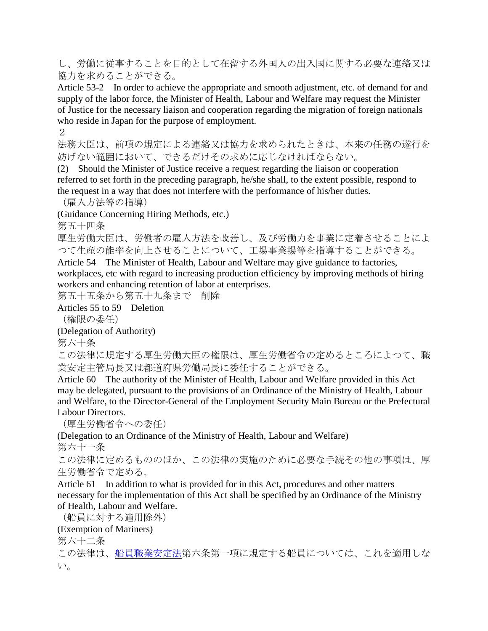し、労働に従事することを目的として在留する外国人の出入国に関する必要な連絡又は 協力を求めることができる。

Article 53-2 In order to achieve the appropriate and smooth adjustment, etc. of demand for and supply of the labor force, the Minister of Health, Labour and Welfare may request the Minister of Justice for the necessary liaison and cooperation regarding the migration of foreign nationals who reside in Japan for the purpose of employment.

2

法務大臣は、前項の規定による連絡又は協力を求められたときは、本来の任務の遂行を 妨げない範囲において、できるだけその求めに応じなければならない。

(2) Should the Minister of Justice receive a request regarding the liaison or cooperation referred to set forth in the preceding paragraph, he/she shall, to the extent possible, respond to the request in a way that does not interfere with the performance of his/her duties.

(雇入方法等の指導)

(Guidance Concerning Hiring Methods, etc.)

第五十四条

厚生労働大臣は、労働者の雇入方法を改善し、及び労働力を事業に定着させることによ つて生産の能率を向上させることについて、工場事業場等を指導することができる。

Article 54 The Minister of Health, Labour and Welfare may give guidance to factories, workplaces, etc with regard to increasing production efficiency by improving methods of hiring workers and enhancing retention of labor at enterprises.

第五十五条から第五十九条まで 削除

Articles 55 to 59 Deletion

(権限の委任)

(Delegation of Authority)

第六十条

この法律に規定する厚生労働大臣の権限は、厚生労働省令の定めるところによつて、職 業安定主管局長又は都道府県労働局長に委任することができる。

Article 60 The authority of the Minister of Health, Labour and Welfare provided in this Act may be delegated, pursuant to the provisions of an Ordinance of the Ministry of Health, Labour and Welfare, to the Director-General of the Employment Security Main Bureau or the Prefectural Labour Directors.

(厚生労働省令への委任)

(Delegation to an Ordinance of the Ministry of Health, Labour and Welfare) 第六十一条

この法律に定めるもののほか、この法律の実施のために必要な手続その他の事項は、厚 生労働省令で定める。

Article 61 In addition to what is provided for in this Act, procedures and other matters necessary for the implementation of this Act shall be specified by an Ordinance of the Ministry of Health, Labour and Welfare.

(船員に対する適用除外) (Exemption of Mariners) 第六十二条 この法律は[、船員職業安定法第](http://www.japaneselawtranslation.go.jp/law/detail_main?id=352&vm=4&re=)六条第一項に規定する船員については、これを適用しな い。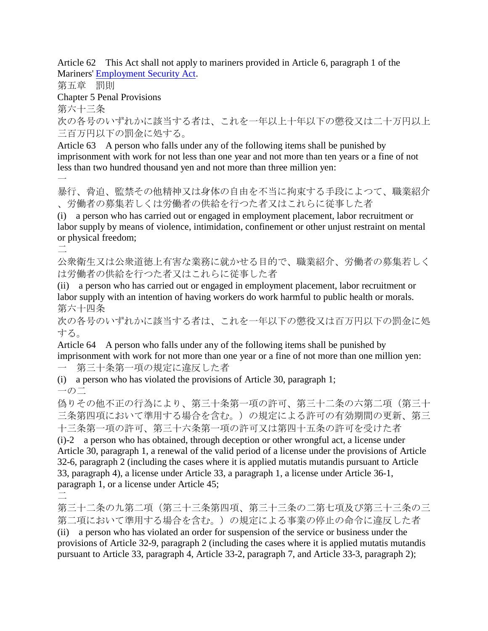Article 62 This Act shall not apply to mariners provided in Article 6, paragraph 1 of the Mariners' [Employment Security Act.](http://www.japaneselawtranslation.go.jp/law/detail_main?id=10&vm=4&re=)

第五章 罰則

Chapter 5 Penal Provisions

第六十三条

次の各号のいずれかに該当する者は、これを一年以上十年以下の懲役又は二十万円以上 三百万円以下の罰金に処する。

Article 63 A person who falls under any of the following items shall be punished by imprisonment with work for not less than one year and not more than ten years or a fine of not less than two hundred thousand yen and not more than three million yen:

 $\overline{\phantom{a}}$ 

暴行、脅迫、監禁その他精神又は身体の自由を不当に拘束する手段によつて、職業紹介 、労働者の募集若しくは労働者の供給を行つた者又はこれらに従事した者

(i) a person who has carried out or engaged in employment placement, labor recruitment or labor supply by means of violence, intimidation, confinement or other unjust restraint on mental or physical freedom;

二

公衆衛生又は公衆道徳上有害な業務に就かせる目的で、職業紹介、労働者の募集若しく は労働者の供給を行つた者又はこれらに従事した者

(ii) a person who has carried out or engaged in employment placement, labor recruitment or labor supply with an intention of having workers do work harmful to public health or morals. 第六十四条

次の各号のいずれかに該当する者は、これを一年以下の懲役又は百万円以下の罰金に処 する。

Article 64 A person who falls under any of the following items shall be punished by imprisonment with work for not more than one year or a fine of not more than one million yen:

第三十条第一項の規定に違反した者

(i) a person who has violated the provisions of Article 30, paragraph 1;  $-$ <sup> $\circ$ </sup>

偽りその他不正の行為により、第三十条第一項の許可、第三十二条の六第二項(第三十 三条第四項において準用する場合を含む。)の規定による許可の有効期間の更新、第三 十三条第一項の許可、第三十六条第一項の許可又は第四十五条の許可を受けた者 (i)-2 a person who has obtained, through deception or other wrongful act, a license under Article 30, paragraph 1, a renewal of the valid period of a license under the provisions of Article 32-6, paragraph 2 (including the cases where it is applied mutatis mutandis pursuant to Article 33, paragraph 4), a license under Article 33, a paragraph 1, a license under Article 36-1, paragraph 1, or a license under Article 45;

二

第三十二条の九第二項(第三十三条第四項、第三十三条の二第七項及び第三十三条の三 第二項において準用する場合を含む。)の規定による事業の停止の命令に違反した者 (ii) a person who has violated an order for suspension of the service or business under the provisions of Article 32-9, paragraph 2 (including the cases where it is applied mutatis mutandis pursuant to Article 33, paragraph 4, Article 33-2, paragraph 7, and Article 33-3, paragraph 2);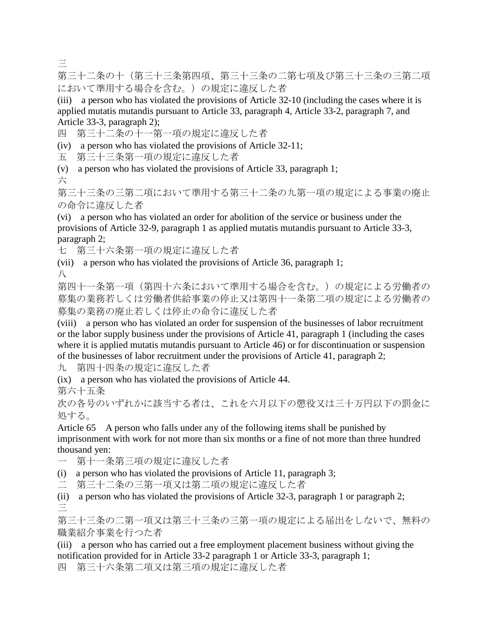三

第三十二条の十(第三十三条第四項、第三十三条の二第七項及び第三十三条の三第二項 において準用する場合を含む。)の規定に違反した者

(iii) a person who has violated the provisions of Article 32-10 (including the cases where it is applied mutatis mutandis pursuant to Article 33, paragraph 4, Article 33-2, paragraph 7, and Article 33-3, paragraph 2);

四 第三十二条の十一第一項の規定に違反した者

(iv) a person who has violated the provisions of Article 32-11;

五 第三十三条第一項の規定に違反した者

(v) a person who has violated the provisions of Article 33, paragraph 1;

六

第三十三条の三第二項において準用する第三十二条の九第一項の規定による事業の廃止 の命令に違反した者

(vi) a person who has violated an order for abolition of the service or business under the provisions of Article 32-9, paragraph 1 as applied mutatis mutandis pursuant to Article 33-3, paragraph 2;

七 第三十六条第一項の規定に違反した者

(vii) a person who has violated the provisions of Article 36, paragraph 1; 八

第四十一条第一項(第四十六条において準用する場合を含む。)の規定による労働者の 募集の業務若しくは労働者供給事業の停止又は第四十一条第二項の規定による労働者の 募集の業務の廃止若しくは停止の命令に違反した者

(viii) a person who has violated an order for suspension of the businesses of labor recruitment or the labor supply business under the provisions of Article 41, paragraph 1 (including the cases where it is applied mutatis mutandis pursuant to Article 46) or for discontinuation or suspension of the businesses of labor recruitment under the provisions of Article 41, paragraph 2;

九 第四十四条の規定に違反した者

(ix) a person who has violated the provisions of Article 44.

第六十五条

次の各号のいずれかに該当する者は、これを六月以下の懲役又は三十万円以下の罰金に 処する。

Article 65 A person who falls under any of the following items shall be punished by imprisonment with work for not more than six months or a fine of not more than three hundred thousand yen:

一 第十一条第三項の規定に違反した者

(i) a person who has violated the provisions of Article 11, paragraph 3;

二 第三十二条の三第一項又は第二項の規定に違反した者

(ii) a person who has violated the provisions of Article 32-3, paragraph 1 or paragraph 2; 三

第三十三条の二第一項又は第三十三条の三第一項の規定による届出をしないで、無料の 職業紹介事業を行つた者

(iii) a person who has carried out a free employment placement business without giving the notification provided for in Article 33-2 paragraph 1 or Article 33-3, paragraph 1;

四 第三十六条第二項又は第三項の規定に違反した者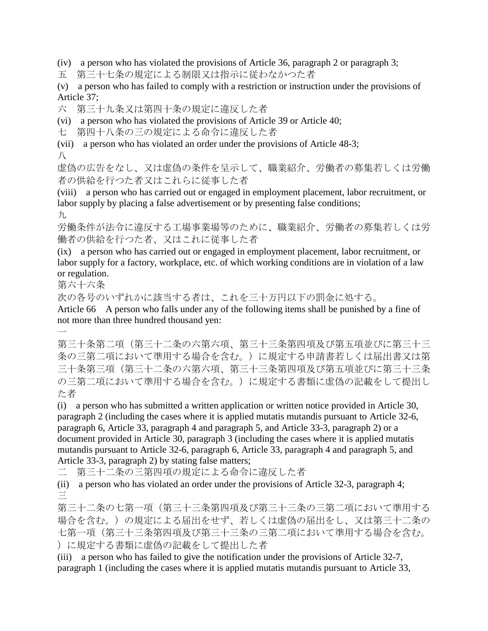(iv) a person who has violated the provisions of Article 36, paragraph 2 or paragraph 3;

五 第三十七条の規定による制限又は指示に従わなかつた者

(v) a person who has failed to comply with a restriction or instruction under the provisions of Article 37;

六 第三十九条又は第四十条の規定に違反した者

(vi) a person who has violated the provisions of Article 39 or Article 40;

七 第四十八条の三の規定による命令に違反した者

(vii) a person who has violated an order under the provisions of Article 48-3; 八

虚偽の広告をなし、又は虚偽の条件を呈示して、職業紹介、労働者の募集若しくは労働 者の供給を行つた者又はこれらに従事した者

(viii) a person who has carried out or engaged in employment placement, labor recruitment, or labor supply by placing a false advertisement or by presenting false conditions;

九

 $\overline{\phantom{a}}$ 

労働条件が法令に違反する工場事業場等のために、職業紹介、労働者の募集若しくは労 働者の供給を行つた者、又はこれに従事した者

(ix) a person who has carried out or engaged in employment placement, labor recruitment, or labor supply for a factory, workplace, etc. of which working conditions are in violation of a law or regulation.

第六十六条

次の各号のいずれかに該当する者は、これを三十万円以下の罰金に処する。

Article 66 A person who falls under any of the following items shall be punished by a fine of not more than three hundred thousand yen:

第三十条第二項(第三十二条の六第六項、第三十三条第四項及び第五項並びに第三十三 条の三第二項において準用する場合を含む。)に規定する申請書若しくは届出書又は第 三十条第三項(第三十二条の六第六項、第三十三条第四項及び第五項並びに第三十三条 の三第二項において準用する場合を含む。)に規定する書類に虚偽の記載をして提出し た者

(i) a person who has submitted a written application or written notice provided in Article 30, paragraph 2 (including the cases where it is applied mutatis mutandis pursuant to Article 32-6, paragraph 6, Article 33, paragraph 4 and paragraph 5, and Article 33-3, paragraph 2) or a document provided in Article 30, paragraph 3 (including the cases where it is applied mutatis mutandis pursuant to Article 32-6, paragraph 6, Article 33, paragraph 4 and paragraph 5, and Article 33-3, paragraph 2) by stating false matters;

二 第三十二条の三第四項の規定による命令に違反した者

(ii) a person who has violated an order under the provisions of Article 32-3, paragraph 4; 三

第三十二条の七第一項(第三十三条第四項及び第三十三条の三第二項において準用する 場合を含む。)の規定による届出をせず、若しくは虚偽の届出をし、又は第三十二条の 七第一項(第三十三条第四項及び第三十三条の三第二項において準用する場合を含む。 )に規定する書類に虚偽の記載をして提出した者

(iii) a person who has failed to give the notification under the provisions of Article 32-7, paragraph 1 (including the cases where it is applied mutatis mutandis pursuant to Article 33,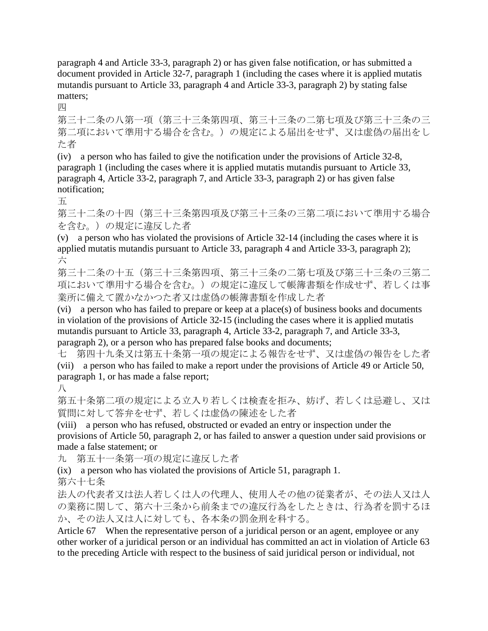paragraph 4 and Article 33-3, paragraph 2) or has given false notification, or has submitted a document provided in Article 32-7, paragraph 1 (including the cases where it is applied mutatis mutandis pursuant to Article 33, paragraph 4 and Article 33-3, paragraph 2) by stating false matters;

四

第三十二条の八第一項(第三十三条第四項、第三十三条の二第七項及び第三十三条の三 第二項において準用する場合を含む。)の規定による届出をせず、又は虚偽の届出をし た者

(iv) a person who has failed to give the notification under the provisions of Article 32-8, paragraph 1 (including the cases where it is applied mutatis mutandis pursuant to Article 33, paragraph 4, Article 33-2, paragraph 7, and Article 33-3, paragraph 2) or has given false notification;

五

第三十二条の十四(第三十三条第四項及び第三十三条の三第二項において準用する場合 を含む。)の規定に違反した者

(v) a person who has violated the provisions of Article 32-14 (including the cases where it is applied mutatis mutandis pursuant to Article 33, paragraph 4 and Article 33-3, paragraph 2); 六

第三十二条の十五(第三十三条第四項、第三十三条の二第七項及び第三十三条の三第二 項において準用する場合を含む。)の規定に違反して帳簿書類を作成せず、若しくは事 業所に備えて置かなかつた者又は虚偽の帳簿書類を作成した者

(vi) a person who has failed to prepare or keep at a place(s) of business books and documents in violation of the provisions of Article 32-15 (including the cases where it is applied mutatis mutandis pursuant to Article 33, paragraph 4, Article 33-2, paragraph 7, and Article 33-3, paragraph 2), or a person who has prepared false books and documents;

七 第四十九条又は第五十条第一項の規定による報告をせず、又は虚偽の報告をした者 (vii) a person who has failed to make a report under the provisions of Article 49 or Article 50, paragraph 1, or has made a false report;

八

第五十条第二項の規定による立入り若しくは検査を拒み、妨げ、若しくは忌避し、又は 質問に対して答弁をせず、若しくは虚偽の陳述をした者

(viii) a person who has refused, obstructed or evaded an entry or inspection under the provisions of Article 50, paragraph 2, or has failed to answer a question under said provisions or made a false statement; or

九 第五十一条第一項の規定に違反した者

(ix) a person who has violated the provisions of Article 51, paragraph 1.

第六十七条

法人の代表者又は法人若しくは人の代理人、使用人その他の従業者が、その法人又は人 の業務に関して、第六十三条から前条までの違反行為をしたときは、行為者を罰するほ か、その法人又は人に対しても、各本条の罰金刑を科する。

Article 67 When the representative person of a juridical person or an agent, employee or any other worker of a juridical person or an individual has committed an act in violation of Article 63 to the preceding Article with respect to the business of said juridical person or individual, not